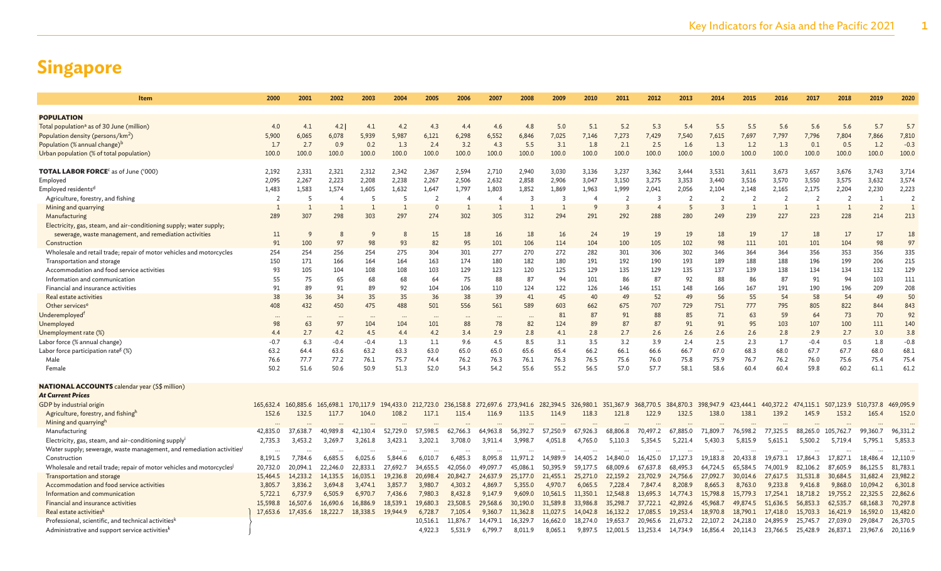| Item                                                                                                                          | 2000                    | 2001           | 2002           | 2003            | 2004            | 2005           | 2006                    | 2007           | 2008           | 2009                    | 2010                    | 2011           | 2012                     | 2013                    | 2014                    | 2015                    | 2016           | 2017           | 2018                    | 2019           | 2020           |
|-------------------------------------------------------------------------------------------------------------------------------|-------------------------|----------------|----------------|-----------------|-----------------|----------------|-------------------------|----------------|----------------|-------------------------|-------------------------|----------------|--------------------------|-------------------------|-------------------------|-------------------------|----------------|----------------|-------------------------|----------------|----------------|
|                                                                                                                               |                         |                |                |                 |                 |                |                         |                |                |                         |                         |                |                          |                         |                         |                         |                |                |                         |                |                |
| <b>POPULATION</b>                                                                                                             |                         |                |                |                 |                 |                |                         |                |                |                         |                         |                |                          |                         |                         |                         |                |                |                         |                |                |
| Total population <sup>a</sup> as of 30 June (million)                                                                         | 4.0                     | 4.1            | 4.2            | 4.1             | 4.2             | 4.3            | 4.4                     | 4.6            | 4.8            | 5.0                     | 5.1                     | 5.2            | 5.3                      | 5.4                     | 5.5                     | 5.5                     | 5.6            | 5.6            | 5.6                     | 5.7            | 5.7            |
| Population density (persons/km <sup>2</sup> )                                                                                 | 5,900                   | 6,065          | 6,078          | 5,939           | 5,987           | 6,121          | 6,298                   | 6,552          | 6,846          | 7,025                   | 7,146                   | 7,273          | 7,429                    | 7,540                   | 7,615                   | 7,697                   | 7,797          | 7,796          | 7,804                   | 7,866          | 7,810          |
| Population (% annual change) <sup>b</sup>                                                                                     | 1.7                     | 2.7            | 0.9            | 0.2             | 1.3             | 2.4            | 3.2                     | 4.3            | 5.5            | 3.1                     | 1.8                     | 2.1            | 2.5                      | 1.6                     | 1.3                     | 1.2                     | 1.3            | 0.1            | 0.5                     | 1.2            | $-0.3$         |
| Urban population (% of total population)                                                                                      | 100.0                   | 100.0          | 100.0          | 100.0           | 100.0           | 100.0          | 100.0                   | 100.0          | 100.0          | 100.0                   | 100.0                   | 100.0          | 100.0                    | 100.0                   | 100.0                   | 100.0                   | 100.0          | 100.0          | 100.0                   | 100.0          | 100.0          |
|                                                                                                                               |                         |                |                |                 |                 |                |                         |                |                |                         |                         |                |                          |                         |                         |                         |                |                |                         |                |                |
| <b>TOTAL LABOR FORCE<sup>c</sup> as of June ('000)</b>                                                                        | 2,192<br>2,095          | 2,331          | 2,321<br>2,223 | 2,312<br>2,208  | 2,342<br>2,238  | 2,367<br>2,267 | 2,594                   | 2,710          | 2,940<br>2,858 | 3,030<br>2,906          | 3,136<br>3,047          | 3,237          | 3,362<br>3,275           | 3,444<br>3,353          | 3,531<br>3,440          | 3,611<br>3,516          | 3,673<br>3,570 | 3,657<br>3,550 | 3,676<br>3,575          | 3,743<br>3,632 | 3,714<br>3,574 |
| Employed                                                                                                                      |                         | 2,267<br>1,583 | 1,574          |                 | 1,632           | 1,647          | 2,506                   | 2,632<br>1,803 | 1,852          | 1,869                   |                         | 3,150<br>1,999 | 2,041                    |                         |                         |                         | 2,165          | 2,175          |                         | 2,230          | 2,223          |
| Employed residents <sup>d</sup>                                                                                               | 1,483<br>$\overline{2}$ | 5              | $\overline{4}$ | 1,605<br>5      | -5              | 2              | 1,797<br>$\overline{A}$ | $\overline{4}$ | 3              | $\overline{\mathbf{3}}$ | 1,963<br>$\overline{4}$ | $\overline{2}$ | 3                        | 2,056<br>$\overline{2}$ | 2,104<br>$\overline{2}$ | 2,148<br>$\overline{2}$ | $\overline{2}$ | $\overline{2}$ | 2,204<br>$\overline{2}$ | - 1            | $\overline{2}$ |
| Agriculture, forestry, and fishing<br>Mining and quarrying                                                                    |                         | 1              | $\overline{1}$ | $\mathbf{1}$    | $\overline{1}$  | $\Omega$       | 1                       |                | 1              | $\overline{1}$          |                         | $\overline{3}$ | $\overline{\phantom{a}}$ | 5                       | $\overline{3}$          |                         | $\overline{1}$ | $\mathbf{1}$   | $\overline{1}$          | $\overline{2}$ |                |
| Manufacturing                                                                                                                 | 289                     | 307            | 298            | 303             | 297             | 274            | 302                     | 305            | 312            | 294                     | 291                     | 292            | 288                      | 280                     | 249                     | 239                     | 227            | 223            | 228                     | 214            | 213            |
|                                                                                                                               |                         |                |                |                 |                 |                |                         |                |                |                         |                         |                |                          |                         |                         |                         |                |                |                         |                |                |
| Electricity, gas, steam, and air-conditioning supply; water supply;<br>sewerage, waste management, and remediation activities |                         | 9              | 8              | 9               | 8               | 15             | 18                      |                | 18             | 16                      | 24                      | 19             | 19                       | 19                      | 18                      | 19                      | 17             | 18             | 17                      | 17             | 18             |
| Construction                                                                                                                  | 11<br>91                | 100            | 97             | 98              | 93              | 82             | 95                      | 16<br>101      | 106            | 114                     | 104                     | 100            | 105                      | 102                     | 98                      | 111                     | 101            | 101            | 104                     | 98             | 97             |
| Wholesale and retail trade; repair of motor vehicles and motorcycles                                                          | 254                     | 254            | 256            | 254             | 275             | 304            | 301                     | 277            | 270            | 272                     | 282                     | 301            | 306                      | 302                     | 346                     | 364                     | 364            | 356            | 353                     | 356            | 335            |
| Transportation and storage                                                                                                    | 150                     | 171            | 166            | 164             | 164             | 163            | 174                     | 180            | 182            | 180                     | 191                     | 192            | 190                      | 193                     | 189                     | 188                     | 188            | 196            | 199                     | 206            | 215            |
| Accommodation and food service activities                                                                                     | 93                      | 105            | 104            | 108             | 108             | 103            | 129                     | 123            | 120            | 125                     | 129                     | 135            | 129                      | 135                     | 137                     | 139                     | 138            | 134            | 134                     | 132            | 129            |
| Information and communication                                                                                                 | 55                      | 75             | 65             | 68              | 68              | 64             | 75                      | 88             | 87             | 94                      | 101                     | 86             | 87                       | 92                      | 88                      | 86                      | 87             | 91             | 94                      | 103            | 111            |
| Financial and insurance activities                                                                                            | 91                      | 89             | 91             | 89              | 92              | 104            | 106                     | 110            | 124            | 122                     | 126                     | 146            | 151                      | 148                     | 166                     | 167                     | 191            | 190            | 196                     | 209            | 208            |
| Real estate activities                                                                                                        | 38                      | 36             | 34             | 35              | 35              | 36             | 38                      | 39             | 41             | 45                      | 40                      | 49             | 52                       | 49                      | 56                      | 55                      | 54             | 58             | 54                      | 49             | 50             |
| Other services <sup>e</sup>                                                                                                   | 408                     | 432            | 450            | 475             | 488             | 501            | 556                     | 561            | 589            | 603                     | 662                     | 675            | 707                      | 729                     | 751                     | 777                     | 795            | 805            | 822                     | 844            | 843            |
| Underemployed <sup>f</sup>                                                                                                    |                         |                |                |                 |                 |                |                         |                |                | 81                      | 87                      | 91             | 88                       | 85                      | 71                      | 63                      | 59             | 64             | 73                      | 70             | 92             |
|                                                                                                                               | <br>98                  | $\cdots$       | $\cdots$<br>97 | $\cdots$<br>104 | $\cdots$<br>104 | $\cdots$       | $\cdots$                | $\cdots$<br>78 | 82             | 124                     | 89                      | 87             | 87                       | 91                      | 91                      |                         | 103            | 107            | 100                     | 111            | 140            |
| Unemployed                                                                                                                    | 4.4                     | 63<br>2.7      | 4.2            | 4.5             | 4.4             | 101<br>4.2     | 88<br>3.4               | 2.9            | 2.8            | 4.1                     | 2.8                     | 2.7            | 2.6                      | 2.6                     | 2.6                     | 95<br>2.6               | 2.8            | 2.9            | 2.7                     | 3.0            | 3.8            |
| Unemployment rate (%)<br>Labor force (% annual change)                                                                        | $-0.7$                  | 6.3            | $-0.4$         | $-0.4$          | 1.3             | 1.1            | 9.6                     | 4.5            | 8.5            | 3.1                     | 3.5                     | 3.2            | 3.9                      | 2.4                     | 2.5                     | 2.3                     | 1.7            | $-0.4$         | 0.5                     | 1.8            | $-0.8$         |
| Labor force participation rate <sup>g</sup> (%)                                                                               | 63.2                    | 64.4           | 63.6           | 63.2            | 63.3            | 63.0           | 65.0                    | 65.0           | 65.6           | 65.4                    | 66.2                    | 66.1           | 66.6                     | 66.7                    | 67.0                    | 68.3                    | 68.0           | 67.7           | 67.7                    | 68.0           | 68.1           |
| Male                                                                                                                          | 76.6                    | 77.7           | 77.2           | 76.1            | 75.7            | 74.4           | 76.2                    | 76.3           | 76.1           | 76.3                    | 76.5                    | 75.6           | 76.0                     | 75.8                    | 75.9                    | 76.7                    | 76.2           | 76.0           | 75.6                    | 75.4           | 75.4           |
| Female                                                                                                                        | 50.2                    | 51.6           | 50.6           | 50.9            | 51.3            | 52.0           | 54.3                    | 54.2           | 55.6           | 55.2                    | 56.5                    | 57.0           | 57.7                     | 58.1                    | 58.6                    | 60.4                    | 60.4           | 59.8           | 60.2                    | 61.1           | 61.2           |
|                                                                                                                               |                         |                |                |                 |                 |                |                         |                |                |                         |                         |                |                          |                         |                         |                         |                |                |                         |                |                |
| <b>NATIONAL ACCOUNTS</b> calendar year (S\$ million)                                                                          |                         |                |                |                 |                 |                |                         |                |                |                         |                         |                |                          |                         |                         |                         |                |                |                         |                |                |
| <b>At Current Prices</b>                                                                                                      |                         |                |                |                 |                 |                |                         |                |                |                         |                         |                |                          |                         |                         |                         |                |                |                         |                |                |
| GDP by industrial origin                                                                                                      | 165,632.4               | 160,885.6      | 165,698.1      | 170, 117.9      | 194,433.0       | 212,723.0      | 236,158.8               | 272,697.6      | 273,941.6      | 282,394.5               | 326,980.1               | 351,367.9      | 368,770.5                | 384,870.3               | 398,947.9               | 423,444.1               | 440,372.2      | 474,115.1      | 507,123.9               | 510,737.8      | 469,095.9      |
| Agriculture, forestry, and fishingh                                                                                           | 152.6                   | 132.5          | 117.7          | 104.0           | 108.2           | 117.1          | 115.4                   | 116.9          | 113.5          | 114.9                   | 118.3                   | 121.8          | 122.9                    | 132.5                   | 138.0                   | 138.1                   | 139.2          | 145.9          | 153.2                   | 165.4          | 152.0          |
| Mining and quarryingh                                                                                                         |                         |                |                |                 |                 |                |                         |                |                |                         |                         |                |                          |                         |                         |                         |                |                |                         |                |                |
| Manufacturing                                                                                                                 | 42,835.0                | 37,638.7       | 40,989.8       | 42,130.4        | 52,729.0        | 57,598.5       | 62,766.3                | 64,963.8       | 56,392.7       | 57,250.9                | 67,926.3                | 68,806.8       | 70,497.2                 | 67,885.0                | 71,809.7                | 76,598.2                | 77,325.5       | 88,265.0       | 105,762.7               | 99,360.7       | 96,331.2       |
| Electricity, gas, steam, and air-conditioning supplyi                                                                         | 2,735.3                 | 3,453.2        | 3,269.7        | 3,261.8         | 3,423.1         | 3,202.1        | 3,708.0                 | 3,911.4        | 3,998.7        | 4,051.8                 | 4,765.0                 | 5,110.3        | 5,354.5                  | 5,221.4                 | 5,430.3                 | 5,815.9                 | 5,615.1        | 5,500.2        | 5,719.4                 | 5,795.1        | 5,853.3        |
| Water supply; sewerage, waste management, and remediation activities                                                          | $\ddotsc$               | $\ddotsc$      | $\cdots$       | $\cdots$        | $\cdots$        | $\cdots$       | $\cdots$                | $\ddotsc$      |                |                         |                         | $\ddotsc$      | $\cdots$                 | $\ddotsc$               |                         |                         | $\ddotsc$      |                | $\ddotsc$               |                |                |
| Construction                                                                                                                  | 8,191.5                 | 7,784.6        | 6,685.5        | 6,025.6         | 5,844.6         | 6,010.7        | 6,485.3                 | 8,095.8        | 11,971.2       | 14,989.9                | 14,405.2                | 14,840.0       | 16,425.0                 | 17,127.3                | 19,183.8                | 20,433.8                | 19,673.1       | 17,864.3       | 17,827.1                | 18,486.4       | 12,110.9       |
| Wholesale and retail trade; repair of motor vehicles and motorcycles                                                          | 20,732.0                | 20,094.1       | 22,246.0       | 22,833.1        | 27,692.7        | 34,655.5       | 42,056.0                | 49,097.7       | 45,086.1       | 50,395.9                | 59,177.5                | 68,009.6       | 67,637.8                 | 68,495.3                | 64,724.5                | 65,584.5                | 74,001.9       | 82,106.2       | 87,605.9                | 86,125.5       | 81,783.1       |
| Transportation and storage                                                                                                    | 15,464.5                | 14,233.2       | 14.135.5       | 16.035.1        | 19,236.8        | 20,698.4       | 20,842.7                | 24,637.9       | 25,177.0       | 21,455.1                | 25,271.0                | 22,159.2       | 23,702.9                 | 24,756.6                | 27,092.7                | 30,014.6                | 27,617.5       | 31,531.8       | 30,684.5                | 31,682.4       | 23,982.2       |
| Accommodation and food service activities                                                                                     | 3,805.7                 | 3,836.2        | 3,694.8        | 3,474.1         | 3,857.7         | 3,980.7        | 4,303.2                 | 4,869.7        | 5,355.0        | 4,970.7                 | 6,065.5                 | 7,228.4        | 7,847.4                  | 8,208.9                 | 8,665.3                 | 8,763.0                 | 9,233.8        | 9,416.8        | 9,868.0                 | 10,094.2       | 6,301.8        |
| Information and communication                                                                                                 | 5,722.1                 | 6,737.9        | 6,505.9        | 6,970.7         | 7,436.6         | 7,980.3        | 8,432.8                 | 9,147.9        | 9,609.0        | 10,561.5                | 11,350.1                | 12,548.8       | 13,695.3                 | 14,774.3                | 15,798.8                | 15,779.3                | 17,254.1       | 18,718.2       | 19,755.2                | 22,325.5       | 22,862.6       |
| Financial and insurance activities                                                                                            | 15,598.8                | 16,507.6       | 16,690.6       | 16,886.9        | 18,539.1        | 19,680.3       | 23,508.5                | 29,568.6       | 30,190.0       | 31,589.8                | 33,986.8                | 35,298.7       | 37,722.1                 | 42,892.6                | 45,968.7                | 49,874.5                | 51,636.5       | 56,853.3       | 62,535.7                | 68,168.3       | 70,297.8       |
| Real estate activities <sup>k</sup>                                                                                           | 17,653.6                | 17,435.6       | 18,222.7       | 18,338.5        | 19,944.9        | 6,728.7        | 7.105.4                 | 9.360.7        | 11,362.8       | 11,027.5                | 14,042.8                | 16.132.2       | 17,085.5                 | 19,253.4                | 18,970.8                | 18.790.1                | 17,418.0       | 15,703.3       | 16,421.9                | 16.592.0       | 13,482.0       |
| Professional, scientific, and technical activities <sup>k</sup>                                                               |                         |                |                |                 |                 | 10,516.1       | 11,876.7                | 14,479.1       | 16,329.7       | 16,662.0                | 18,274.0                | 19,653.7       | 20,965.6                 | 21,673.2                | 22,107.2                | 24,218.0                | 24,895.9       | 25,745.7       | 27,039.0                | 29,084.7       | 26,370.        |
| Administrative and support service activities <sup>k</sup>                                                                    |                         |                |                |                 |                 | 4,922.3        | 5,531.9                 | 6,799.7        | 8,011.9        | 8,065.1                 | 9,897.5                 | 12,001.5       | 13,253.4                 | 14,734.9                | 16,856.4                | 20,114.3                | 23,766.5       | 25,428.9       | 26,837.1                | 23,967.6       | 20,116.        |
|                                                                                                                               |                         |                |                |                 |                 |                |                         |                |                |                         |                         |                |                          |                         |                         |                         |                |                |                         |                |                |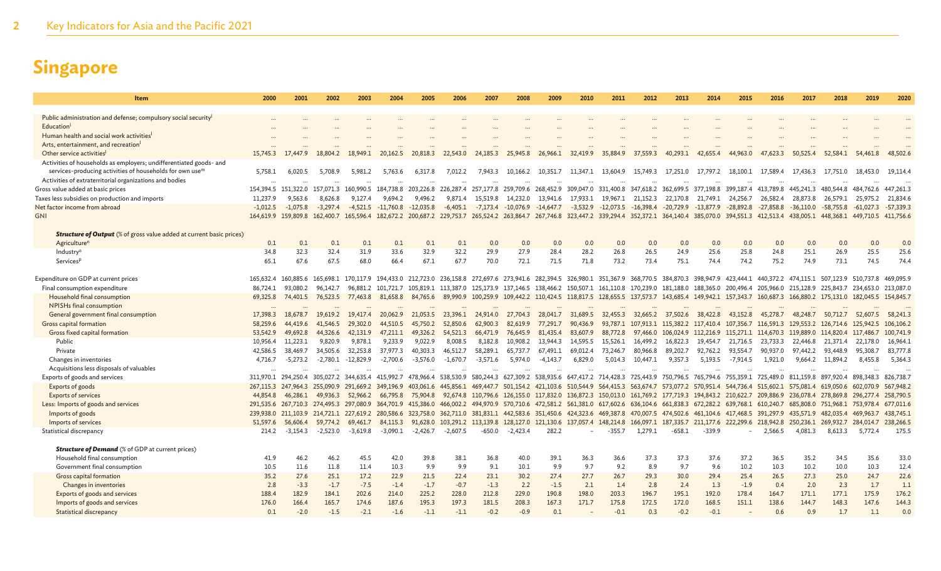| Item                                                                        | 2000       | 2001                             | 2002       | 2003                                                        | 2004                   | 2005              | 2006       | 2007       | 2008                    | 2009       | 2010              | 2011                                              | 2012                                                                                                                                                                                                                                                                                                                               | 2013               | 2014      | 2015                          | 2016                                                        | 2017        | 2018                          | 2019        | 2020                   |
|-----------------------------------------------------------------------------|------------|----------------------------------|------------|-------------------------------------------------------------|------------------------|-------------------|------------|------------|-------------------------|------------|-------------------|---------------------------------------------------|------------------------------------------------------------------------------------------------------------------------------------------------------------------------------------------------------------------------------------------------------------------------------------------------------------------------------------|--------------------|-----------|-------------------------------|-------------------------------------------------------------|-------------|-------------------------------|-------------|------------------------|
| Public administration and defense; compulsory social security               |            |                                  |            |                                                             |                        |                   |            |            |                         |            |                   |                                                   |                                                                                                                                                                                                                                                                                                                                    |                    |           |                               |                                                             |             |                               |             |                        |
| Education <sup>1</sup>                                                      |            |                                  |            |                                                             |                        |                   |            |            |                         |            |                   |                                                   |                                                                                                                                                                                                                                                                                                                                    |                    |           |                               |                                                             |             |                               |             |                        |
| Human health and social work activities                                     |            |                                  |            |                                                             |                        |                   |            |            |                         |            |                   |                                                   |                                                                                                                                                                                                                                                                                                                                    |                    |           |                               |                                                             |             |                               |             |                        |
| Arts, entertainment, and recreation                                         |            |                                  |            |                                                             |                        |                   |            |            |                         |            |                   |                                                   |                                                                                                                                                                                                                                                                                                                                    |                    |           |                               |                                                             |             |                               |             |                        |
| Other service activities <sup>1</sup>                                       | 15,745.3   | 17,447.9                         | 18,804.2   | 18,949.1                                                    | 20,162.5               | 20,818.3          | 22,543.0   | 24,185.3   | 25,945.8                | 26,966.1   | 32,419.9          | 35,884.9                                          | 37,559.3                                                                                                                                                                                                                                                                                                                           | 40,293.1           | 42,655.4  | 44,963.0                      | .623.3<br>-47                                               | 50,525.4    | 52,584.1                      | 54,461.8    | 48,502.6               |
| Activities of households as employers; undifferentiated goods- and          |            |                                  |            |                                                             |                        |                   |            |            |                         |            |                   |                                                   |                                                                                                                                                                                                                                                                                                                                    |                    |           |                               |                                                             |             |                               |             |                        |
| services-producing activities of households for own use <sup>n</sup>        | 5,758.1    | 6,020.5                          | 5,708.9    | 5,981.2                                                     | 5,763.6                | 6,317.8           | 7,012.2    | 7.943.3    | 10,166.2                |            | 10,351.7 11,347.1 | 13,604.9                                          | 15,749.3                                                                                                                                                                                                                                                                                                                           | 17,251.0           | 17,797.2  |                               | 18,100.1 17,589.4                                           | 17,436.3    | 17,751.0                      | 18,453.0    | 19,114.4               |
| Activities of extraterritorial organizations and bodies                     |            |                                  |            |                                                             |                        |                   |            |            |                         |            |                   |                                                   |                                                                                                                                                                                                                                                                                                                                    |                    |           |                               |                                                             |             |                               |             |                        |
| Gross value added at basic prices                                           |            | 154,394.5 151,322.0              | 157,071.3  | 160,990.5                                                   | 184,738.8              | 203,226.8         | 226,287.4  | 257,177.8  |                         |            |                   | 259,709.6 268,452.9 309,047.0 331,400.8 347,618.2 |                                                                                                                                                                                                                                                                                                                                    | 362,699.5          | 377.198.8 | 399.187.4                     | 413,789.8                                                   | 445,241.3   | 480,544.8                     | 484.762.6   | 447,261.3              |
| Taxes less subsidies on production and imports                              | 11,237.9   | 9,563.6                          | 8,626.8    | 9,127.4                                                     | 9,694.2                | 9,496.2           | 9.871.4    | 15,519.8   | 14,232.0                |            | 13,941.6 17,933.1 |                                                   | 19,967.1 21,152.3 22,170.8                                                                                                                                                                                                                                                                                                         |                    | 21,749.1  |                               | 24,256.7 26,582.4                                           | 28,873.8    | 26,579.1                      | 25,975.2    | 21,834.6               |
| Net factor income from abroad                                               | $-1.012.5$ | $-1.075.8$                       | $-3,297.4$ |                                                             | $-4,521.5$ $-11,760.8$ | $-12,035.8$       | $-6,405.1$ | $-7,173.4$ | $-10,076.9$ $-14,647.7$ |            |                   |                                                   | $-3,532.9$ $-12,073.5$ $-16,398.4$ $-20,729.9$ $-13,877.9$ $-28,892.8$ $-27,858.8$                                                                                                                                                                                                                                                 |                    |           |                               |                                                             | $-36,110.0$ | $-58,755.8$                   | $-61.027.3$ | $-57,339.3$            |
| <b>GNI</b>                                                                  |            |                                  |            |                                                             |                        |                   |            |            |                         |            |                   |                                                   | 164,619.9 159,809.8 162,400.7 165,596.4 182,672.2 200,687.2 229,753.7 265,524.2 263,864.7 267,746.8 323,447.2 339,294.4 352,372.1 364,140.4 385,070.0 394,551.3 412,513.4 438,005.1 448,368.1 449,710.5 411,756.6                                                                                                                  |                    |           |                               |                                                             |             |                               |             |                        |
| <b>Structure of Output</b> (% of gross value added at current basic prices) |            |                                  |            |                                                             |                        |                   |            |            |                         |            |                   |                                                   |                                                                                                                                                                                                                                                                                                                                    |                    |           |                               |                                                             |             |                               |             |                        |
| Agriculture <sup>n</sup>                                                    | 0.1        | 0.1                              | 0.1        | 0.1                                                         | 0.1                    | 0.1               | 0.1        | 0.0        | 0.0                     | 0.0        | 0.0               | 0.0                                               | 0.0                                                                                                                                                                                                                                                                                                                                | 0.0                | 0.0       | 0.0                           | 0.0                                                         | 0.0         | 0.0                           | 0.0         | 0.0                    |
| Industry <sup>o</sup>                                                       | 34.8       | 32.3                             | 32.4       | 31.9                                                        | 33.6                   | 32.9              | 32.2       | 29.9       | 27.9                    | 28.4       | 28.2              | 26.8                                              | 26.5                                                                                                                                                                                                                                                                                                                               | 24.9               | 25.6      | 25.8                          | 24.8                                                        | 25.1        | 26.9                          | 25.5        | 25.6                   |
| Services <sup>p</sup>                                                       | 65.1       | 67.6                             | 67.5       | 68.0                                                        | 66.4                   | 67.1              | 67.7       | 70.0       | 72.1                    | 71.5       | 71.8              | 73.2                                              | 73.4                                                                                                                                                                                                                                                                                                                               | 75.1               | 74.4      | 74.2                          | 75.2                                                        | 74.9        | 73.1                          | 74.5        | 74.4                   |
|                                                                             |            |                                  |            |                                                             |                        |                   |            |            |                         |            |                   |                                                   |                                                                                                                                                                                                                                                                                                                                    |                    |           |                               |                                                             |             |                               |             |                        |
| Expenditure on GDP at current prices                                        | 165,632.4  | 160,885.6                        | 165,698.1  |                                                             |                        |                   |            |            |                         |            |                   |                                                   | 170,117,9 194,433,0 212,723,0 236,158.8 272,697.6 273,941.6 282,394.5 326,980.1 351,367.9 368,770.5 384,870.3 398,947.9 423,444.1 440,372.2 474,115.1 507,123.9 510,737.8                                                                                                                                                          |                    |           |                               |                                                             |             |                               |             | 469,095.9              |
| Final consumption expenditure                                               | 86,724.1   | 93.080.2                         | 96,142.7   |                                                             |                        |                   |            |            |                         |            |                   |                                                   | 96,881.2 101,721.7 105,819.1 113,387.0 125,173.9 137,146.5 138,466.2 150,507.1 161,110.8 170,239.0 181,188.0                                                                                                                                                                                                                       |                    |           |                               | 188,365.0 200,496.4 205,966.0 215,128.9 225,843.7 234,653.0 |             |                               |             | 213,087.0              |
| Household final consumption                                                 | 69,325.8   | 74,401.5                         | 76,523.5   | 77,463.8                                                    | 81,658.8               | 84,765.6          |            |            |                         |            |                   |                                                   | 89,990.9 100,259.9 109,442.2 110,424.5 118,817.5 128,655.5 137,573.7 143,685.4 149,942.1 157,343.7 160,687.3 166,880.2 175,131.0 182,045.5                                                                                                                                                                                         |                    |           |                               |                                                             |             |                               |             | 154,845.7              |
| NPISHs final consumption                                                    |            |                                  |            |                                                             |                        |                   |            |            |                         |            |                   |                                                   |                                                                                                                                                                                                                                                                                                                                    |                    |           |                               |                                                             |             |                               |             |                        |
| General government final consumption                                        | 17,398.3   | 18,678.7                         | 19,619.2   | 19,417.4                                                    | 20,062.9               | 21,053.5          | 23,396.1   | 24,914.0   | 27,704.3                | 28,041.7   | 31,689.5          | 32,455.3                                          | 32,665.2                                                                                                                                                                                                                                                                                                                           | 37,502.6           | 38,422.8  | 43,152.8                      | 45,278.7                                                    | 48,248.7    | 50,712.7                      | 52,607.5    | 58,241.3               |
| Gross capital formation                                                     | 58,259.6   | 44,419.6                         | 41,546.5   | 29,302.0                                                    | 44,510.5               | 45,750.2          | 52,850.6   | 62,900.3   | 82,619.9                | 77,291.7   | 90,436.9          |                                                   | 93,787.1 107,913.1 115,382.2 117,410.4 107,356.7 116,591.3 129,553.2 126,714.6 125,942.5                                                                                                                                                                                                                                           |                    |           |                               |                                                             |             |                               |             | 106,106.2              |
| Gross fixed capital formation                                               | 53,542.9   | 49,692.8                         | 44,326.6   | 42,131.9                                                    | 47,211.1               | 49,326.2          | 54,521.3   | 66,471.9   | 76,645.9                | 81,435.4   | 83,607.9          | 88,772.8                                          |                                                                                                                                                                                                                                                                                                                                    | 97,466.0 106,024.9 |           |                               | 112,216.9 115,271.1 114,670.3 119,889.0 114,820.4 117,486.7 |             |                               |             | 100,741.9              |
| Public                                                                      | 10.956.4   | 11,223.1                         | 9.820.9    | 9.878.1                                                     | 9.233.9                | 9.022.9           | 8.008.5    | 8,182.8    | 10,908.2                | 13.944.3   | 14.595.5          | 15,526.1                                          | 16,499.2                                                                                                                                                                                                                                                                                                                           | 16,822.3           | 19.454.7  | 21,716.5                      | 23,733.3                                                    | 22,446.8    | 21.371.4                      | 22,178.0    | 16,964.1               |
| Private                                                                     | 42,586.5   | 38,469.7                         | 34,505.6   | 32,253.8                                                    | 37,977.3               | 40,303.3          | 46,512.7   | 58,289.1   | 65,737.7                | 67,491.1   | 69,012.4          | 73,246.7                                          | 80,966.8                                                                                                                                                                                                                                                                                                                           | 89,202.7           | 92,762.2  | 93,554.7                      | 90,937.0                                                    | 97,442.2    | 93,448.9 95,308.7             |             | 83,777.8               |
| Changes in inventories                                                      | 4,716.7    | $-5,273.2$                       | $-2,780.1$ | $-12,829.9$                                                 | $-2,700.6$             | $-3,576.0$        | $-1,670.7$ | $-3,571.6$ | 5,974.0                 | $-4,143.7$ | 6,829.0           | 5,014.3                                           | 10,447.1                                                                                                                                                                                                                                                                                                                           | 9,357.3            | 5,193.5   | -7,914.5                      | 1,921.0                                                     | 9,664.2     | 11,894.2                      | 8,455.8     | 5,364.3                |
| Acquisitions less disposals of valuables                                    |            |                                  |            |                                                             |                        |                   |            |            |                         |            |                   |                                                   |                                                                                                                                                                                                                                                                                                                                    |                    |           |                               |                                                             |             |                               |             |                        |
| Exports of goods and services                                               |            | 311.970.1 294.250.4              |            | 305,027.2 344,635.4 415,992.7 478,966.4                     |                        |                   |            |            |                         |            |                   |                                                   | 538,530.9 580,244.3 627,309.2 538,935.6 647,417.2 714,428.3 725,443.9 750,796.5 765,794.6 755,359.1 725,489.0 811,159.8 897,920.4 898,348.3                                                                                                                                                                                        |                    |           |                               |                                                             |             |                               |             | 826,738.7              |
| Exports of goods                                                            |            |                                  |            | 267,115.3 247,964.3 255,090.9 291,669.2 349,196.9 403,061.6 |                        |                   |            |            |                         |            |                   |                                                   | 445,856.1 469,447.7 501,154.2 421,103.6 510,544.9 564,415.3 563,674.7 573,077.2 570,951.4 544,736.4 515,602.1 575,081.4 619,050.6 602,070.9                                                                                                                                                                                        |                    |           |                               |                                                             |             |                               |             | 567,948.2              |
| <b>Exports of services</b>                                                  | 44,854.8   | 46,286.1                         | 49,936.3   |                                                             |                        |                   |            |            |                         |            |                   |                                                   | 52,966.2 66,795.8 75,904.8 92,674.8 110,796.6 126,155.0 117,832.0 136,872.3 150,013.0 161,769.2 177,719.3 194,843.2 210,622.7 209,886.9 236,078.4 278,869.8 296,277.4                                                                                                                                                              |                    |           |                               |                                                             |             |                               |             | 258,790.5              |
| Less: Imports of goods and services<br>Imports of goods                     | 239,938.0  | 291,535.6 267,710.3<br>211,103.9 |            | 274,495.3 297,080.9 364,701.9 415,386.0                     |                        |                   |            |            |                         |            |                   |                                                   | 466,002.2 494,970.9 570,710.6 472,581.2 561,381.0 617,602.6 636,104.6 661,838.3 672,282.2 639,768.1 610,240.7 685,808.0 751,968.1 753,978.4<br>214,721.1 227,619.2 280,586.6 323,758.0 362,711.0 381,831.1 442,583.6 351,450.6 424,323.6 469,387.8 470,007.5 474,502.6 461,104.6 417,468.5 391,297.9 435,571.9 482,035.4 469,963.7 |                    |           |                               |                                                             |             |                               |             | 677,011.6<br>438,745.1 |
| Imports of services                                                         | 51,597.6   | 56,606.4                         | 59.774.2   | 69,461.7                                                    |                        | 84,115.3 91,628.0 |            |            |                         |            |                   |                                                   | 103,291.2 113,139.8 128,127.0 121,130.6 137,057.4 148,214.8 166,097.1 187,335.7                                                                                                                                                                                                                                                    |                    |           | 211,177.6 222,299.6 218,942.8 |                                                             |             | 250,236.1 269,932.7 284,014.7 |             | 238,266.5              |
| Statistical discrepancy                                                     | 214.2      | $-3,154.3$                       | $-2,523.0$ | $-3,619.8$                                                  | -3,090.1               | $-2,426.7$        | $-2,607.5$ | $-650.0$   | $-2,423.4$              | 282.2      |                   | $-355.7$                                          | 1,279.1                                                                                                                                                                                                                                                                                                                            | $-658.1$           | $-339.9$  |                               | 2,566.5                                                     | 4,081.3     | 8,613.3                       | 5,772.4     | 175.5                  |
|                                                                             |            |                                  |            |                                                             |                        |                   |            |            |                         |            |                   |                                                   |                                                                                                                                                                                                                                                                                                                                    |                    |           |                               |                                                             |             |                               |             |                        |
| <b>Structure of Demand</b> (% of GDP at current prices)                     |            |                                  |            |                                                             |                        |                   |            |            |                         |            |                   |                                                   |                                                                                                                                                                                                                                                                                                                                    |                    |           |                               |                                                             |             |                               |             |                        |
| Household final consumption                                                 | 41.9       | 46.2                             | 46.2       | 45.5                                                        | 42.0                   | 39.8              | 38.1       | 36.8       | 40.0                    | 39.1       | 36.3              | 36.6                                              | 37.3                                                                                                                                                                                                                                                                                                                               | 37.3               | 37.6      | 37.2                          | 36.5                                                        | 35.2        | 34.5                          | 35.6        | 33.0                   |
| Government final consumption                                                | 10.5       | 11.6                             | 11.8       | 11.4                                                        | 10.3                   | 9.9               | 9.9        | 9.1        | 10.1                    | 9.9        | 9.7               | 9.2                                               | 8.9                                                                                                                                                                                                                                                                                                                                | 9.7                | 9.6       | 10.2                          | 10.3                                                        | 10.2        | 10.0                          | 10.3        | 12.4                   |
| Gross capital formation                                                     | 35.2       | 27.6                             | 25.1       | 17.2                                                        | 22.9                   | 21.5              | 22.4       | 23.1       | 30.2                    | 27.4       | 27.7              | 26.7                                              | 29.3                                                                                                                                                                                                                                                                                                                               | 30.0               | 29.4      | 25.4                          | 26.5                                                        | 27.3        | 25.0                          | 24.7        | 22.6                   |
| Changes in inventories                                                      | 2.8        | $-3.3$                           | $-1.7$     | $-7.5$                                                      | $-1.4$                 | $-1.7$            | $-0.7$     | $-1.3$     | 2.2                     | $-1.5$     | 2.1               | 1.4                                               | 2.8                                                                                                                                                                                                                                                                                                                                | 2.4                | 1.3       | $-1.9$                        | 0.4                                                         | 2.0         | 2.3                           | 1.7         | 1.1                    |
| Exports of goods and services                                               | 188.4      | 182.9                            | 184.1      | 202.6                                                       | 214.0                  | 225.2             | 228.0      | 212.8      | 229.0                   | 190.8      | 198.0             | 203.3                                             | 196.7                                                                                                                                                                                                                                                                                                                              | 195.1              | 192.0     | 178.4                         | 164.7                                                       | 171.1       | 177.1                         | 175.9       | 176.2                  |
| Imports of goods and services                                               | 176.0      | 166.4                            | 165.7      | 174.6                                                       | 187.6                  | 195.3             | 197.3      | 181.5      | 208.3                   | 167.3      | 171.7             | 175.8                                             | 172.5                                                                                                                                                                                                                                                                                                                              | 172.0              | 168.5     | 151.1                         | 138.6                                                       | 144.7       | 148.3                         | 147.6       | 144.3                  |
| Statistical discrepancy                                                     | 0.1        | $-2.0$                           | $-1.5$     | $-2.1$                                                      | $-1.6$                 | $-1.1$            | $-1.1$     | $-0.2$     | $-0.9$                  | 0.1        |                   | $-0.1$                                            | 0.3                                                                                                                                                                                                                                                                                                                                | $-0.2$             | $-0.1$    |                               | 0.6                                                         | 0.9         | 1.7                           | 1.1         | 0.0                    |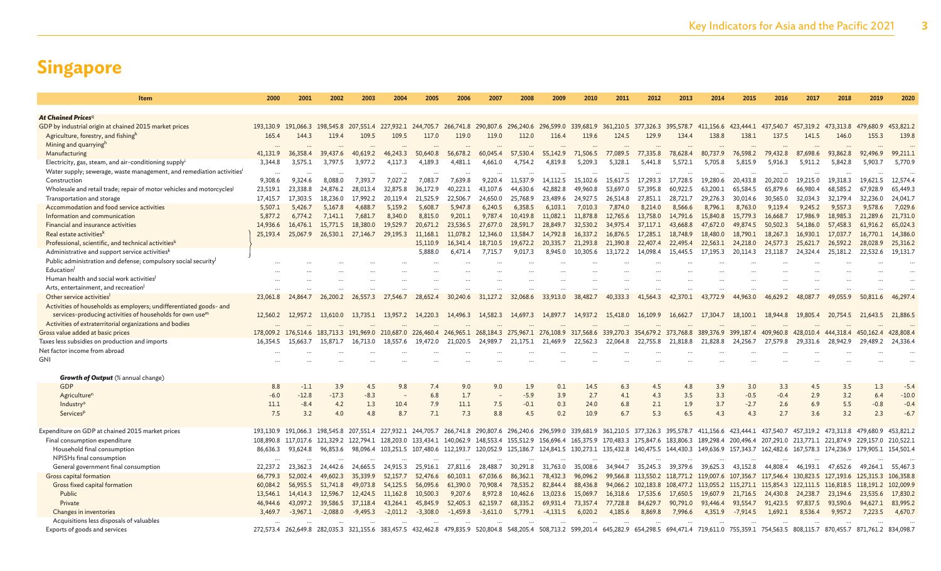| <b>Item</b>                                                                       | 2000      | 2001                          | 2002       | 2003                             | 2004         | 2005       | 2006                | 2007       | 2008                                                                                                                                                                                                              | 2009       | 2010                 | 2011      | 2012                                              | 2013                 | 2014                             | 2015                          | 2016                 | 2017                  | 2018                          | 2019                 | 2020                 |
|-----------------------------------------------------------------------------------|-----------|-------------------------------|------------|----------------------------------|--------------|------------|---------------------|------------|-------------------------------------------------------------------------------------------------------------------------------------------------------------------------------------------------------------------|------------|----------------------|-----------|---------------------------------------------------|----------------------|----------------------------------|-------------------------------|----------------------|-----------------------|-------------------------------|----------------------|----------------------|
|                                                                                   |           |                               |            |                                  |              |            |                     |            |                                                                                                                                                                                                                   |            |                      |           |                                                   |                      |                                  |                               |                      |                       |                               |                      |                      |
| <b>At Chained Prices</b> q                                                        |           |                               |            |                                  |              |            |                     |            |                                                                                                                                                                                                                   |            |                      |           |                                                   |                      |                                  |                               |                      |                       |                               |                      |                      |
| GDP by industrial origin at chained 2015 market prices                            |           | 193,130.9 191,066.3 198,545.8 |            | 207, 551.4 227, 932.1 244, 705.7 |              |            |                     |            | 266,741.8 290,807.6 296,240.6 296,599.0 339,681.9 361,210.5 377,326.3 395,578.7                                                                                                                                   |            |                      |           |                                                   |                      |                                  | 411,156.6 423,444.1 437,540.7 |                      |                       | 457,319.2 473,313.8 479,680.9 |                      | 453,821.2            |
| Agriculture, forestry, and fishingh                                               | 165.4     | 144.3                         | 119.4      | 109.5                            | 109.5        | 117.0      | 119.0               | 119.0      | 112.0                                                                                                                                                                                                             | 116.4      | 119.6                | 124.5     | 129.9                                             | 134.4                | 138.8                            | 138.1                         | 137.5                | 141.5                 | 146.0                         | 155.3                | 139.8                |
| Mining and quarryingh                                                             |           |                               |            |                                  |              |            |                     |            |                                                                                                                                                                                                                   |            |                      |           |                                                   |                      |                                  |                               |                      |                       |                               |                      |                      |
| Manufacturing                                                                     | 41.131.9  | 36,358.4                      | 39,437.6   | 40.619.2                         | 46,243.3     | 50,640.8   | 56,678.2            | 60,045.4   | 57,530.4                                                                                                                                                                                                          | 55,142.9   | 71,506.5             | 77,089.5  | 77,335.8                                          | 78,628.4             | 80,737.9                         | 76,598.2                      | 79,432.8             | 87,698.6              | 93,862.8                      | 92,496.9             | 99,211.1             |
| Electricity, gas, steam, and air-conditioning supply                              | 3.344.8   | 3,575.1                       | 3,797.5    | 3,977.2                          | 4,117.3      | 4,189.3    | 4,481.1             | 4,661.0    | 4,754.2                                                                                                                                                                                                           | 4,819.8    | 5,209.3              | 5,328.1   | 5,441.8                                           | 5,572.1              | 5,705.8                          | 5,815.9                       | 5,916.3              | 5,911.2               | 5,842.8                       | 5,903.7              | 5,770.9              |
| Water supply; sewerage, waste management, and remediation activities <sup>i</sup> |           |                               |            |                                  |              |            |                     |            |                                                                                                                                                                                                                   |            |                      |           |                                                   |                      |                                  |                               |                      |                       |                               |                      |                      |
| Construction                                                                      | 9,308.6   | 9,324.6                       | 8,088.0    | 7,393.7                          | 7,027.2      | 7,083.7    | 7,639.8             | 9,220.4    | 11.537.9                                                                                                                                                                                                          | 14.112.5   | 15,102.6             | 15,617.5  | 17,293.3                                          | 17,728.5             | 19,280.6                         | 20,433.8                      | 20,202.0             | 19,215.0              | 19,318.3                      | 19,621.5             | 12,574.4             |
| Wholesale and retail trade; repair of motor vehicles and motorcycles              | 23,519.1  | 23,338.8                      | 24,876.2   | 28,013.4                         | 32,875.8     | 36,172.9   | 40.223.1            | 43,107.6   | 44,630.6                                                                                                                                                                                                          | 42,882.8   | 49,960.8             | 53,697.0  | 57,395.8                                          | 60,922.5             | 63,200.1                         | 65,584.5                      | 65,879.6             | 66,980.4              | 68,585.2                      | 67,928.9             | 65,449.3             |
| Transportation and storage                                                        | 17,415.7  | 17,303.5                      | 18,236.0   | 17,992.2                         | 20.119.4     | 21,525.9   | 22,506.7            | 24,650.0   | 25,768.9<br>6,358.5                                                                                                                                                                                               | 23,489.6   | 24,927.5             | 26,514.8  | 27,851.1                                          | 28,721.7             | 29,276.3                         | 30,014.6                      | 30,565.0             | 32,034.3              | 32,179.4                      | 32.236.0             | 24,041.7<br>7.029.6  |
| Accommodation and food service activities                                         | 5.507.1   | 5.426.7                       | 5.167.8    | 4,688.7                          | 5.159.2      | 5.608.7    | 5,947.8             | 6.240.5    |                                                                                                                                                                                                                   | 6.103.1    | 7,010.3              | 7.874.0   | 8,214.0                                           | 8.566.6              | 8.796.1                          | 8,763.0                       | 9.119.4              | 9.245.2               | 9.557.3                       | 9,578.6              |                      |
| Information and communication<br>Financial and insurance activities               | 5,877.2   | 6,774.2                       | 7.141.1    | 7,681.7<br>18,380.0              | 8,340.0      | 8,815.0    | 9.201.1<br>23,536.5 | 9,787.4    | 10,419.8                                                                                                                                                                                                          | 11,082.1   | 11,878.8             | 12,765.6  | 13,758.0                                          | 14,791.6             | 15,840.8                         | 15,779.3                      | 16,668.7             | 17,986.9              | 18,985.3                      | 21,289.6             | 21,731.0             |
|                                                                                   | 14,936.6  | 16,476.1                      | 15,771.5   |                                  | 19,529.7     | 20,671.2   |                     | 27,677.0   | 28,591.7                                                                                                                                                                                                          | 28,849.7   | 32,530.2             | 34,975.4  | 37,117.1                                          | 43,668.8             | 47,672.0                         | 49,874.5                      | 50,502.3             | 54,186.0              | 57,458.3                      | 61,916.2             | 65,024.3             |
| Real estate activities <sup>k</sup>                                               | 25,193.4  | 25,067.9                      | 26,530.1   | 27,146.7                         | 29,195.3     | 11,168.1   | 11,078.2            | 12,346.0   | 13,584.7                                                                                                                                                                                                          | 14,792.8   | 16,337.2             | 16,876.5  | 17,285.1                                          | 18,748.9             | 18,480.0                         | 18,790.1                      | 18,267.3             | 16,930.1              | 17,037.7                      | 16,770.1             | 14,386.0             |
| Professional, scientific, and technical activities <sup>k</sup>                   |           |                               |            |                                  |              | 15,110.9   | 16,341.4            | 18,710.5   | 19,672.2                                                                                                                                                                                                          | 20,335.7   | 21,293.8<br>10,305.6 | 21,390.8  | 22,407.4                                          | 22,495.4<br>15,445.5 | 22,563.1<br>17,195.3             | 24,218.0                      | 24,577.3<br>23,118.7 | 25,621.7              | 26,592.2                      | 28,028.9<br>22,532.6 | 25,316.2<br>19,131.7 |
| Administrative and support service activities <sup>k</sup>                        |           |                               |            |                                  |              | 5,888.0    | 6.471.4             | 7,715.7    | 9,017.3                                                                                                                                                                                                           | 8,945.0    |                      | 13,172.2  | 14,098.4                                          |                      |                                  | 20,114.3                      |                      | 24.324.4              | 25,181.2                      |                      |                      |
| Public administration and defense; compulsory social security<br>Education        |           |                               |            |                                  |              |            |                     |            |                                                                                                                                                                                                                   |            |                      |           |                                                   |                      |                                  |                               |                      |                       |                               |                      |                      |
| Human health and social work activities                                           |           |                               |            |                                  |              |            |                     |            |                                                                                                                                                                                                                   |            |                      |           |                                                   |                      |                                  |                               |                      |                       |                               |                      |                      |
| Arts, entertainment, and recreation                                               |           |                               |            |                                  |              |            |                     |            |                                                                                                                                                                                                                   |            |                      |           |                                                   |                      |                                  |                               |                      |                       |                               |                      |                      |
| Other service activities                                                          | 23,061.8  | 24,864.7                      | 26,200.2   | 26,557.3                         | 27<br>.546.7 | 28,652.4   | 30,240.6            | 31,127.2   | 32,068.6                                                                                                                                                                                                          | 33,913.0   | 38,482.7             | 40.333.3  | 41,564.3                                          | 42,370.1             | 43,772.9                         | 44,963.0                      | 46,629.2             | 48.087.7              | 49,055.9                      | 50,811.6             | 46,297.4             |
| Activities of households as employers; undifferentiated goods- and                |           |                               |            |                                  |              |            |                     |            |                                                                                                                                                                                                                   |            |                      |           |                                                   |                      |                                  |                               |                      |                       |                               |                      |                      |
| services-producing activities of households for own use <sup>m</sup>              | 12,560.2  | 12,957.2                      | 13,610.0   | 13,735.1                         | 13,957.2     | 14,220.3   | 14,496.3            | 14,582.3   | 14,697.3                                                                                                                                                                                                          | 14,897.7   | 14,937.2             | 15,418.0  | 16,109.9                                          | 16,662.7             | 17,304.7                         | 18,100.1                      | 18,944.8             | 19,805.4              | 20,754.5                      | 21,643.5             | 21,886.5             |
| Activities of extraterritorial organizations and bodies                           |           |                               |            |                                  |              |            |                     |            |                                                                                                                                                                                                                   |            |                      |           |                                                   |                      |                                  |                               |                      |                       |                               |                      |                      |
| Gross value added at basic prices                                                 | 178,009.2 | 176,514.6                     | 183,713.3  | 191,969.0                        | 210,687.0    | 226,460.4  | 246,965.1           | 268,184.3  | 275,967.1 276,108.9                                                                                                                                                                                               |            | 317,568.6            | 339,270.3 | 354,679.2                                         | 373,768.8            | 389,376.9                        | 399,187.4                     | 409,960.8            | 428,010.4             | 444,318.4                     | 450,162.4            | 428,808.4            |
| Taxes less subsidies on production and imports                                    | 16.354.5  | 15.663.7                      | 15,871.7   | 16.713.0                         | 18.557.6     | 19,472.0   | 21.020.5            | 24,989.7   | 21.175.1                                                                                                                                                                                                          | 21,469.9   | 22,562.3             | 22.064.8  | 22,755.8                                          | 21.818.8             | 21,828.8                         | 24.256.7                      | 27,579.8             | 29,331.6              | 28,942.9                      | 29,489.2             | 24,336.4             |
| Net factor income from abroad                                                     |           |                               |            |                                  |              |            |                     |            |                                                                                                                                                                                                                   |            |                      |           |                                                   |                      |                                  |                               |                      |                       |                               |                      |                      |
| <b>GNI</b>                                                                        |           |                               |            |                                  |              |            |                     |            |                                                                                                                                                                                                                   |            |                      |           |                                                   |                      |                                  |                               |                      |                       |                               |                      |                      |
|                                                                                   |           |                               |            |                                  |              |            |                     |            |                                                                                                                                                                                                                   |            |                      |           |                                                   |                      |                                  |                               |                      |                       |                               |                      |                      |
| <b>Growth of Output</b> (% annual change)                                         |           |                               |            |                                  |              |            |                     |            |                                                                                                                                                                                                                   |            |                      |           |                                                   |                      |                                  |                               |                      |                       |                               |                      |                      |
| GDP                                                                               | 8.8       | $-1.1$                        | 3.9        | 4.5                              | 9.8          | 7.4        | 9.0                 | 9.0        | 1.9                                                                                                                                                                                                               | 0.1        | 14.5                 | 6.3       | 4.5                                               | 4.8                  | 3.9                              | 3.0                           | 3.3                  | 4.5                   | 3.5                           | 1.3                  | $-5.4$               |
| Agriculture <sup>n</sup>                                                          | $-6.0$    | $-12.8$                       | $-17.3$    | $-8.3$                           |              | 6.8        | 1.7                 |            | $-5.9$                                                                                                                                                                                                            | 3.9        | 2.7                  | 4.1       | 4.3                                               | 3.5                  | 3.3                              | $-0.5$                        | $-0.4$               | 2.9                   | 3.2                           | 6.4                  | $-10.0$              |
| Industry <sup>o</sup>                                                             | 11.1      | $-8.4$                        | 4.2        | 1.3                              | 10.4         | 7.9        | 11.1                | 7.5        | $-0.1$                                                                                                                                                                                                            | 0.3        | 24.0                 | 6.8       | 2.1                                               | 1.9                  | 3.7                              | $-2.7$                        | 2.6                  | 6.9                   | 5.5                           | $-0.8$               | $-0.4$               |
| Services <sup>p</sup>                                                             | 7.5       | 3.2                           | 4.0        | 4.8                              | 8.7          | 7.1        | 7.3                 | 8.8        | 4.5                                                                                                                                                                                                               | 0.2        | 10.9                 | 6.7       | 5.3                                               | 6.5                  | 4.3                              | 4.3                           | 2.7                  | 3.6                   | 3.2                           | 2.3                  | $-6.7$               |
|                                                                                   |           |                               |            |                                  |              |            |                     |            |                                                                                                                                                                                                                   |            |                      |           |                                                   |                      |                                  |                               |                      |                       |                               |                      |                      |
| Expenditure on GDP at chained 2015 market prices                                  |           | 193.130.9 191.066.3 198.545.8 |            |                                  |              |            |                     |            | 207,551.4 227,932.1 244,705.7 266,741.8 290,807.6 296,240.6 296,599.0 339,681.9 361,210.5 377,326.3 395,578.7 411,156.6 423,444.1 437,540.7                                                                       |            |                      |           |                                                   |                      |                                  |                               |                      |                       | 457.319.2 473.313.8 479.680.9 |                      | 453.821.2            |
| Final consumption expenditure                                                     | 108,890.8 | 117,017.6 121,329.2           |            | 122,794.1 128,203.0 133,434.1    |              |            | 140,062.9           |            | 148,553.4 155,512.9 156,696.4 165,375.9 170,483.3 175,847.6 183,806.3 189,298.4 200,496.4 207,291.0 213,771.1 221,874.9 229,157.0                                                                                 |            |                      |           |                                                   |                      |                                  |                               |                      |                       |                               |                      | 210,522.1            |
| Household final consumption                                                       | 86,636.3  | 93,624.8                      | 96,853.6   |                                  |              |            |                     |            | 98,096.4 103,251.5 107,480.6 112,193.7 120,052.9 125,186.7 124,841.5 130,273.1 135,432.8 140,475.5 144,430.3 149,636.9 157,343.7 162,482.6 167,578.3 174,236.9 179,905.1                                          |            |                      |           |                                                   |                      |                                  |                               |                      |                       |                               |                      | 154,501.4            |
| NPISHs final consumption                                                          |           |                               |            |                                  |              |            |                     |            |                                                                                                                                                                                                                   |            |                      |           |                                                   |                      |                                  |                               |                      |                       |                               |                      |                      |
| General government final consumption                                              | 22,237.2  | 23,362.3                      | 24,442.6   | 24,665.5                         | 24,915.3     | 25,916.1   | 27,811.6            | 28,488.7   | 30,291.8                                                                                                                                                                                                          | 31,763.0   | 35,008.6             | 34,944.7  | 35,245.3                                          | 39,379.6             | 39,625.3                         | 43,152.8                      | 44,808.4             | 46,193.1              | 47,652.6                      | 49.264.1             | 55,467.3             |
| Gross capital formation                                                           | 66,779.3  | 52,002.4                      | 49,602.3   | 35,339.9                         | 52,157.7     | 52,476.6   | 60,103.1            | 67,036.6   | 86,362.1                                                                                                                                                                                                          | 78,432.3   | 96,096.2             | 99,566.8  | 113,550.2 118,771.2 119,007.6 107,356.7 117,546.4 |                      |                                  |                               |                      |                       | 130,823.5 127,193.6 125,315.3 |                      | 106,358.8            |
| Gross fixed capital formation                                                     | 60,084.2  | 56,955.5                      | 51,741.8   | 49,073.8                         | 54,125.5     | 56,095.6   | 61,390.0            | 70,908.4   | 78,535.2                                                                                                                                                                                                          | 82,844.4   | 88,436.8             | 94,066.2  | 102,183.8                                         |                      | 108, 477.2 113, 055.2 115, 271.1 |                               | 115,854.3            | 122, 111.5 116, 818.5 |                               | 118,191.2            | 102,009.9            |
| Public                                                                            | 13,546.1  | 14,414.3                      | 12,596.7   | 12,424.5                         | 11,162.8     | 10,500.3   | 9,207.6             | 8,972.8    | 10,462.6                                                                                                                                                                                                          | 13,023.6   | 15,069.7             | 16,318.6  | 17,535.6                                          | 17,650.5             | 19,607.9                         | 21,716.5                      | 24,430.8             | 24,238.7              | 23,194.6                      | 23,535.6             | 17,830.2             |
| Private                                                                           | 46,944.6  | 43,097.2                      | 39,586.5   | 37,118.4                         | 43,264.1     | 45,845.9   | 52,405.3            | 62,159.7   | 68,335.2                                                                                                                                                                                                          | 69,931.4   | 73,357.4             | 77,728.8  | 84,629.7                                          | 90.791.0             | 93,446.4                         | 93,554.7                      | 91,423.5             | 97,837.5              | 93,590.6                      | 94.627.1             | 83,995.2             |
| Changes in inventories                                                            | 3,469.7   | $-3,967.1$                    | $-2,088.0$ | $-9,495.3$                       | $-2,011.2$   | $-3,308.0$ | $-1,459.8$          | $-3,611.0$ | 5,779.1                                                                                                                                                                                                           | $-4,131.5$ | 6,020.2              | 4,185.6   | 8,869.8                                           | 7,996.6              | 4,351.9                          | $-7,914.5$                    | 1,692.1              | 8,536.4               | 9,957.2                       | 7,223.5              | 4,670.7              |
| Acquisitions less disposals of valuables                                          |           |                               |            |                                  |              |            |                     |            |                                                                                                                                                                                                                   |            |                      |           |                                                   |                      |                                  |                               |                      |                       |                               |                      |                      |
| Exports of goods and services                                                     |           |                               |            |                                  |              |            |                     |            | 272,573.4 262,649.8 282,035.3 321,155.6 383,457.5 432,462.8 479,835.9 520,804.8 548,205.4 508,713.2 599,201.4 645,282.9 654,298.5 694,471.4 719,611.0 755,359.1 754,563.5 808,115.7 870,455.7 871,761.2 834,098.7 |            |                      |           |                                                   |                      |                                  |                               |                      |                       |                               |                      |                      |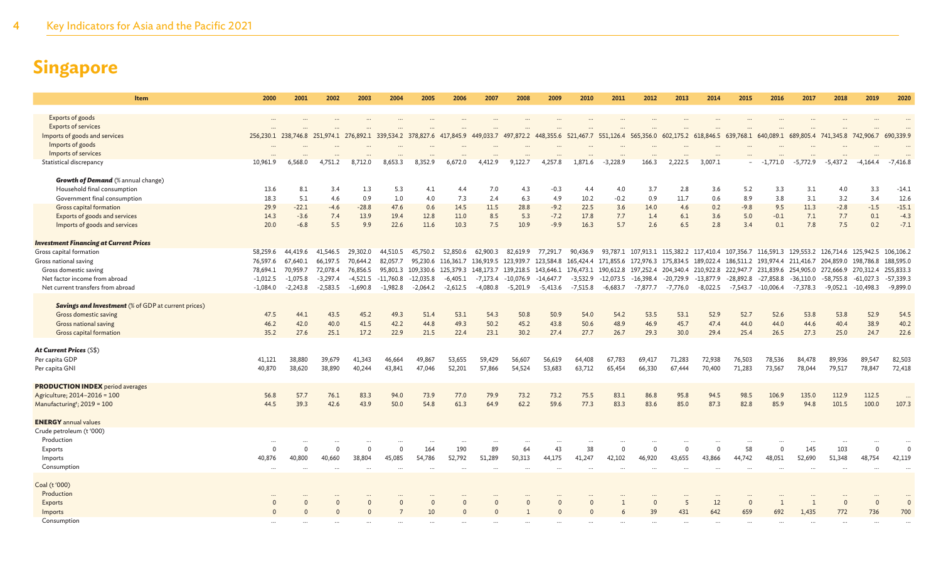| Item                                                       | 2000       | 2001       | 2002       | 2003         | 2004         | 2005               | 2006                | 2007              | 2008                          | 2009                       | 2010       | 2011        | 2012         | 2013        | 2014                                                                                                                                                                                                    | 2015        | 2016        | 2017         | 2018         | 2019                 | 2020        |
|------------------------------------------------------------|------------|------------|------------|--------------|--------------|--------------------|---------------------|-------------------|-------------------------------|----------------------------|------------|-------------|--------------|-------------|---------------------------------------------------------------------------------------------------------------------------------------------------------------------------------------------------------|-------------|-------------|--------------|--------------|----------------------|-------------|
|                                                            |            |            |            |              |              |                    |                     |                   |                               |                            |            |             |              |             |                                                                                                                                                                                                         |             |             |              |              |                      |             |
| Exports of goods                                           | $\ddotsc$  |            |            |              |              |                    | $\cdots$            |                   | $\cdots$                      | $\ddotsc$                  |            | $\ddotsc$   |              |             |                                                                                                                                                                                                         |             |             |              |              |                      |             |
| <b>Exports of services</b>                                 |            |            |            |              |              |                    |                     |                   |                               |                            |            |             |              |             |                                                                                                                                                                                                         |             |             |              |              |                      |             |
| Imports of goods and services                              |            |            |            |              |              |                    |                     |                   |                               |                            |            |             |              |             | 256,230.1 238,746.8 251,974.1 276,892.1 339,534.2 378,827.6 417,845.9 449,033.7 497,872.2 448,355.6 521,467.7 551,126.4 565,356.0 602,175.2 618,846.5 639,768.1 640,089.1 689,805.4 741,345.8 742,906.7 |             |             |              |              |                      | 690,339.9   |
| Imports of goods                                           |            |            |            |              |              |                    |                     |                   |                               |                            |            |             |              |             |                                                                                                                                                                                                         |             |             |              |              |                      |             |
| Imports of services<br>Statistical discrepancy             | 10,961.9   | 6,568.0    | 4.751.2    | 8,712.0      | 8,653.3      | 8,352.9            | 6,672.0             | 4,412.9           | 9,122.7                       | 4,257.8                    | 1,871.6    | $-3,228.9$  | 166.3        | 2,222.5     | 3,007.1                                                                                                                                                                                                 |             | $-1,771.0$  | $-5,772.9$   | $-5,437.2$   | $-4,164.4$           | $-7,416.8$  |
|                                                            |            |            |            |              |              |                    |                     |                   |                               |                            |            |             |              |             |                                                                                                                                                                                                         |             |             |              |              |                      |             |
| <b>Growth of Demand</b> (% annual change)                  |            |            |            |              |              |                    |                     |                   |                               |                            |            |             |              |             |                                                                                                                                                                                                         |             |             |              |              |                      |             |
| Household final consumption                                | 13.6       | 8.1        | 3.4        | 1.3          | 5.3          | 4.1                | 4.4                 | 7.0               | 4.3                           | $-0.3$                     | 4.4        | 4.0         | 3.7          | 2.8         | 3.6                                                                                                                                                                                                     | 5.2         | 3.3         | 3.1          | 4.0          | 3.3                  | $-14.1$     |
| Government final consumption                               | 18.3       | 5.1        | 4.6        | 0.9          | 1.0          | 4.0                | 7.3                 | 2.4               | 6.3                           | 4.9                        | 10.2       | $-0.2$      | 0.9          | 11.7        | 0.6                                                                                                                                                                                                     | 8.9         | 3.8         | 3.1          | 3.2          | 3.4                  | 12.6        |
| Gross capital formation                                    | 29.9       | $-22.1$    | $-4.6$     | $-28.8$      | 47.6         | 0.6                | 14.5                | 11.5              | 28.8                          | $-9.2$                     | 22.5       | 3.6         | 14.0         | 4.6         | 0.2                                                                                                                                                                                                     | $-9.8$      | 9.5         | 11.3         | $-2.8$       | $-1.5$               | $-15.1$     |
| Exports of goods and services                              | 14.3       | $-3.6$     | 7.4        | 13.9         | 19.4         | 12.8               | 11.0                | 8.5               | 5.3                           | $-7.2$                     | 17.8       | 7.7         | 1.4          | 6.1         | 3.6                                                                                                                                                                                                     | 5.0         | $-0.1$      | 7.1          | 7.7          | 0.1                  | $-4.3$      |
| Imports of goods and services                              | 20.0       | $-6.8$     | 5.5        | 9.9          | 22.6         | 11.6               | 10.3                | 7.5               | 10.9                          | $-9.9$                     | 16.3       | 5.7         | 2.6          | 6.5         | 2.8                                                                                                                                                                                                     | 3.4         | 0.1         | 7.8          | 7.5          | 0.2                  | $-7.1$      |
|                                                            |            |            |            |              |              |                    |                     |                   |                               |                            |            |             |              |             |                                                                                                                                                                                                         |             |             |              |              |                      |             |
| <b>Investment Financing at Current Prices</b>              |            |            |            |              |              |                    |                     |                   |                               |                            |            |             |              |             |                                                                                                                                                                                                         |             |             |              |              |                      |             |
| Gross capital formation                                    | 58,259.6   | 44,419.6   | 41,546.5   | 29,302.0     | 44,510.5     | 45,750.2           |                     | 52,850.6 62,900.3 |                               | 82,619.9 77,291.7 90,436.9 |            |             |              |             | 93,787.1 107,913.1 115,382.2 117,410.4 107,356.7 116,591.3 129,553.2 126,714.6 125,942.5 106,106.2                                                                                                      |             |             |              |              |                      |             |
| Gross national saving                                      | 76,597.6   | 67,640.1   | 66,197.5   | 70,644.2     | 82,057.7     | 95,230.6           | 116,361.7           | 136,919.5         | 123,939.7 123,584.8 165,424.4 |                            |            |             |              |             | 171,855.6 172,976.3 175,834.5 189,022.4 186,511.2 193,974.4 211,416.7 204,859.0 198,786.8                                                                                                               |             |             |              |              |                      | 188,595.0   |
| Gross domestic saving                                      | 78.694.1   | 70,959.7   | 72,078.4   | 76,856.5     |              | 95,801.3 109,330.6 | 125,379.3 148,173.7 |                   |                               |                            |            |             |              |             | 139,218.5 143,646.1 176,473.1 190,612.8 197,252.4 204,340.4 210,922.8 222,947.7 231,839.6 254,905.0 272,666.9 270,312.4                                                                                 |             |             |              |              |                      | 255,833.3   |
| Net factor income from abroad                              | $-1,012.5$ | $-1,075.8$ | $-3,297.4$ | $-4,521.5$   | $-11,760.8$  | $-12,035.8$        | $-6,405.1$          | $-7,173.4$        | $-10,076.9$                   | $-14,647.7$                | $-3,532.9$ | $-12,073.5$ | $-16,398.4$  | $-20,729.9$ | $-13,877.9$                                                                                                                                                                                             | $-28,892.8$ | $-27,858.8$ | $-36,110.0$  | -58,755.8    | $-61,027.3$          | $-57,339.3$ |
| Net current transfers from abroad                          | $-1,084.0$ | $-2,243.8$ | $-2,583.5$ | $-1,690.8$   | $-1,982.8$   | $-2,064.2$         | $-2,612.5$          | $-4,080.8$        | $-5,201.9$                    | $-5,413.6$                 | $-7,515.8$ | $-6,683.7$  | -7,877.7     | $-7,776.0$  | $-8,022.5$                                                                                                                                                                                              | -7,543.7    | $-10,006.4$ | -7,378.3     |              | $-9,052.1 -10,498.3$ | $-9,899.0$  |
| <b>Savings and Investment</b> (% of GDP at current prices) |            |            |            |              |              |                    |                     |                   |                               |                            |            |             |              |             |                                                                                                                                                                                                         |             |             |              |              |                      |             |
| Gross domestic saving                                      | 47.5       | 44.1       | 43.5       | 45.2         | 49.3         | 51.4               | 53.1                | 54.3              | 50.8                          | 50.9                       | 54.0       | 54.2        | 53.5         | 53.1        | 52.9                                                                                                                                                                                                    | 52.7        | 52.6        | 53.8         | 53.8         | 52.9                 | 54.5        |
| Gross national saving                                      | 46.2       | 42.0       | 40.0       | 41.5         | 42.2         | 44.8               | 49.3                | 50.2              | 45.2                          | 43.8                       | 50.6       | 48.9        | 46.9         | 45.7        | 47.4                                                                                                                                                                                                    | 44.0        | 44.0        | 44.6         | 40.4         | 38.9                 | 40.2        |
| Gross capital formation                                    | 35.2       | 27.6       | 25.1       | 17.2         | 22.9         | 21.5               | 22.4                | 23.1              | 30.2                          | 27.4                       | 27.7       | 26.7        | 29.3         | 30.0        | 29.4                                                                                                                                                                                                    | 25.4        | 26.5        | 27.3         | 25.0         | 24.7                 | 22.6        |
|                                                            |            |            |            |              |              |                    |                     |                   |                               |                            |            |             |              |             |                                                                                                                                                                                                         |             |             |              |              |                      |             |
| At Current Prices (S\$)                                    |            |            |            |              |              |                    |                     |                   |                               |                            |            |             |              |             |                                                                                                                                                                                                         |             |             |              |              |                      |             |
| Per capita GDP                                             | 41,121     | 38,880     | 39,679     | 41,343       | 46,664       | 49,867             | 53,655              | 59,429            | 56,607                        | 56,619                     | 64,408     | 67,783      | 69,417       | 71,283      | 72,938                                                                                                                                                                                                  | 76,503      | 78,536      | 84,478       | 89,936       | 89,547               | 82,503      |
| Per capita GNI                                             | 40,870     | 38,620     | 38,890     | 40.244       | 43,841       | 47.046             | 52,201              | 57,866            | 54,524                        | 53.683                     | 63,712     | 65,454      | 66,330       | 67,444      | 70,400                                                                                                                                                                                                  | 71,283      | 73,567      | 78,044       | 79,517       | 78,847               | 72,418      |
|                                                            |            |            |            |              |              |                    |                     |                   |                               |                            |            |             |              |             |                                                                                                                                                                                                         |             |             |              |              |                      |             |
| <b>PRODUCTION INDEX</b> period averages                    |            |            |            |              |              |                    |                     |                   |                               |                            |            |             |              |             |                                                                                                                                                                                                         |             |             |              |              |                      |             |
| Agriculture; 2014-2016 = 100                               | 56.8       | 57.7       | 76.1       | 83.3         | 94.0         | 73.9               | 77.0                | 79.9              | 73.2                          | 73.2                       | 75.5       | 83.1        | 86.8         | 95.8        | 94.5                                                                                                                                                                                                    | 98.5        | 106.9       | 135.0        | 112.9        | 112.5                |             |
| Manufacturing <sup>r</sup> ; 2019 = 100                    | 44.5       | 39.3       | 42.6       | 43.9         | 50.0         | 54.8               | 61.3                | 64.9              | 62.2                          | 59.6                       | 77.3       | 83.3        | 83.6         | 85.0        | 87.3                                                                                                                                                                                                    | 82.8        | 85.9        | 94.8         | 101.5        | 100.0                | 107.3       |
| <b>ENERGY</b> annual values                                |            |            |            |              |              |                    |                     |                   |                               |                            |            |             |              |             |                                                                                                                                                                                                         |             |             |              |              |                      |             |
| Crude petroleum (t '000)                                   |            |            |            |              |              |                    |                     |                   |                               |                            |            |             |              |             |                                                                                                                                                                                                         |             |             |              |              |                      |             |
| Production                                                 |            |            |            |              |              |                    |                     |                   |                               |                            |            |             |              |             |                                                                                                                                                                                                         |             |             |              |              |                      |             |
| Exports                                                    |            | $\Omega$   |            | $\mathbf{0}$ | $\Omega$     | 164                | 190                 | 89                | 64                            | 43                         | 38         | $\Omega$    | $\mathbf{0}$ | $\Omega$    | $\Omega$                                                                                                                                                                                                | 58          | $\Omega$    | 145          | 103          | $\Omega$             | $\Omega$    |
| Imports                                                    | 40,876     | 40,800     | 40,660     | 38,804       | 45,085       | 54,786             | 52,792              | 51,289            | 50,313                        | 44,175                     | 41,247     | 42,102      | 46,920       | 43,655      | 43,866                                                                                                                                                                                                  | 44,742      | 48,051      | 52,690       | 51,348       | 48,754               | 42,119      |
| Consumption                                                | $\ddotsc$  |            |            | $\ddotsc$    |              |                    | $\ddotsc$           |                   | $\ddotsc$                     |                            |            | $\ddotsc$   |              |             |                                                                                                                                                                                                         |             | $\ddotsc$   |              |              |                      |             |
|                                                            |            |            |            |              |              |                    |                     |                   |                               |                            |            |             |              |             |                                                                                                                                                                                                         |             |             |              |              |                      |             |
| Coal (t '000)                                              |            |            |            |              |              |                    |                     |                   |                               |                            |            |             |              |             |                                                                                                                                                                                                         |             |             |              |              |                      |             |
| Production                                                 |            |            |            |              |              |                    |                     |                   |                               |                            |            |             |              |             | $\cdots$                                                                                                                                                                                                |             |             |              |              |                      |             |
| Exports                                                    | $\Omega$   | $\Omega$   |            | $\mathbf{0}$ | $\mathbf{0}$ | $\mathbf{0}$       | $\Omega$            |                   | $\Omega$                      | $\Omega$                   | $\Omega$   |             | $\Omega$     | 5           | 12                                                                                                                                                                                                      | $\Omega$    |             | $\mathbf{1}$ | $\mathbf{0}$ | $\Omega$             | $\Omega$    |
| Imports                                                    | $\Omega$   | $\Omega$   |            | $\Omega$     |              | 10                 | $\Omega$            |                   |                               | $\Omega$                   | $\Omega$   |             | 39           | 431         | 642                                                                                                                                                                                                     | 659         | 692         | 1,435        | 772          | 736                  | 700         |
| Consumption                                                |            |            |            |              |              |                    |                     |                   |                               |                            |            |             |              |             |                                                                                                                                                                                                         |             |             |              |              |                      |             |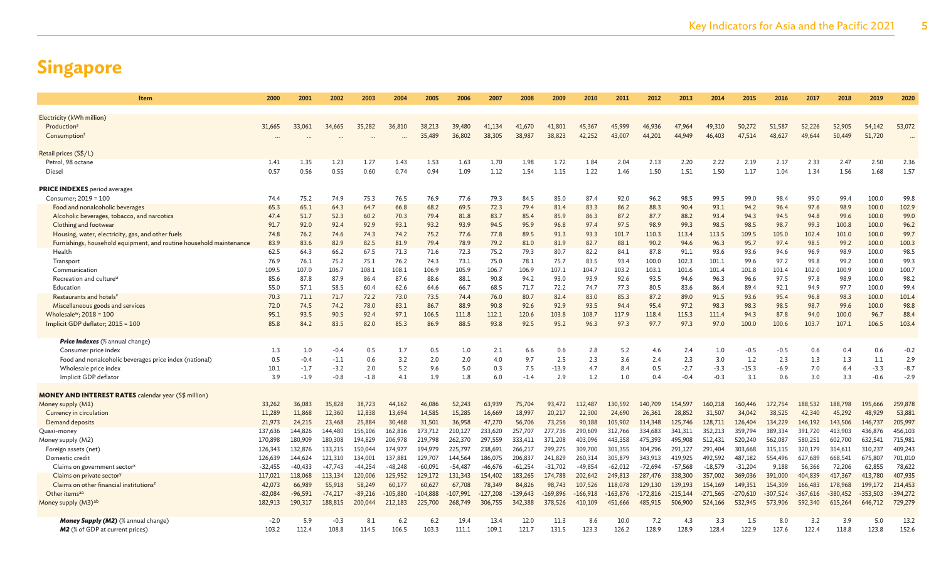| Item                                                                    | 2000         | 2001         | 2002         | 2003         | 2004         | 2005         | 2006          | 2007         | 2008          | 2009          | 2010         | 2011         | 2012          | 2013         | 2014         | 2015         | 2016         | 2017         | 2018          | 2019          | 2020          |
|-------------------------------------------------------------------------|--------------|--------------|--------------|--------------|--------------|--------------|---------------|--------------|---------------|---------------|--------------|--------------|---------------|--------------|--------------|--------------|--------------|--------------|---------------|---------------|---------------|
| Electricity (kWh million)                                               |              |              |              |              |              |              |               |              |               |               |              |              |               |              |              |              |              |              |               |               |               |
| Production <sup>s</sup>                                                 | 31,665       | 33,061       | 34,665       | 35,282       | 36,810       | 38.213       | 39,480        | 41.134       | 41,670        | 41,801        | 45,367       | 45,999       | 46,936        | 47.964       | 49,310       | 50,272       | 51.587       | 52,226       | 52,905        | 54,142        | 53,072        |
| Consumption <sup>1</sup>                                                |              |              |              |              |              | 35,489       | 36,802        | 38,305       | 38,987        | 38,823        | 42,252       | 43,007       | 44,201        | 44,949       | 46,403       | 47,514       | 48,627       | 49.644       | 50,449        | 51,720        |               |
|                                                                         |              |              |              |              |              |              |               |              |               |               |              |              |               |              |              |              |              |              |               |               |               |
| Retail prices (S\$/L)                                                   |              |              |              |              |              |              |               |              |               |               |              |              |               |              |              |              |              |              |               |               |               |
| Petrol, 98 octane                                                       | 1.41         | 1.35         | 1.23         | 1.27         | 1.43         | 1.53         | 1.63          | 1.70         | 1.98          | 1.72          | 1.84         | 2.04         | 2.13          | 2.20         | 2.22         | 2.19         | 2.17         | 2.33         | 2.47          | 2.50          | 2.36          |
| Diesel                                                                  | 0.57         | 0.56         | 0.55         | 0.60         | 0.74         | 0.94         | 1.09          | 1.12         | 1.54          | 1.15          | 1.22         | 1.46         | 1.50          | 1.51         | 1.50         | 1.17         | 1.04         | 1.34         | 1.56          | 1.68          | 1.57          |
| <b>PRICE INDEXES</b> period averages                                    |              |              |              |              |              |              |               |              |               |               |              |              |               |              |              |              |              |              |               |               |               |
| Consumer; 2019 = 100                                                    | 74.4         | 75.2         | 74.9         | 75.3         | 76.5         | 76.9         | 77.6          | 79.3         | 84.5          | 85.0          | 87.4         | 92.0         | 96.2          | 98.5         | 99.5         | 99.0         | 98.4         | 99.0         | 99.4          | 100.0         | 99.8          |
| Food and nonalcoholic beverages                                         | 65.3         | 65.1         | 64.3         | 64.7         | 66.8         | 68.2         | 69.5          | 72.3         | 79.4          | 81.4          | 83.3         | 86.2         | 88.3          | 90.4         | 93.1         | 94.2         | 96.4         | 97.6         | 98.9          | 100.0         | 102.9         |
| Alcoholic beverages, tobacco, and narcotics                             | 47.4         | 51.7         | 52.3         | 60.2         | 70.3         | 79.4         | 81.8          | 83.7         | 85.4          | 85.9          | 86.3         | 87.2         | 87.7          | 88.2         | 93.4         | 94.3         | 94.5         | 94.8         | 99.6          | 100.0         | 99.0          |
| Clothing and footwear                                                   | 91.7         | 92.0         | 92.4         | 92.9         | 93.1         | 93.2         | 93.9          | 94.5         | 95.9          | 96.8          | 97.4         | 97.5         | 98.9          | 99.3         | 98.5         | 98.5         | 98.7         | 99.3         | 100.8         | 100.0         | 96.2          |
| Housing, water, electricity, gas, and other fuels                       | 74.8         | 76.2         | 74.6         | 74.3         | 74.2         | 75.2         | 77.6          | 77.8         | 89.5          | 91.3          | 93.3         | 101.7        | 110.3         | 113.4        | 113.5        | 109.5        | 105.0        | 102.4        | 101.0         | 100.0         | 99.7          |
| Furnishings, household equipment, and routine household maintenance     | 83.9         | 83.6         | 82.9         | 82.5         | 81.9         | 79.4         | 78.9          | 79.2         | 81.0          | 81.9          | 82.7         | 88.1         | 90.2          | 94.6         | 96.3         | 95.7         | 97.4         | 98.5         | 99.2          | 100.0         | 100.3         |
| Health                                                                  | 62.5         | 64.3         | 66.2         | 67.5         | 71.3         | 71.6         | 72.3          | 75.2         | 79.3          | 80.7          | 82.2         | 84.1         | 87.8          | 91.1         | 93.6         | 93.6         | 94.6         | 96.9         | 98.9          | 100.0         | 98.5          |
| Transport                                                               | 76.9         | 76.1         | 75.2         | 75.1         | 76.2         | 74.3         | 73.1          | 75.0         | 78.1          | 75.7          | 83.5         | 93.4         | 100.0         | 102.3        | 101.1        | 99.6         | 97.2         | 99.8         | 99.2          | 100.0         | 99.3          |
| Communication                                                           | 109.5        | 107.0        | 106.7        | 108.1        | 108.1        | 106.9        | 105.9         | 106.7        | 106.9         | 107.1         | 104.7        | 103.2        | 103.1         | 101.6        | 101.4        | 101.8        | 101.4        | 102.0        | 100.9         | 100.0         | 100.7         |
| Recreation and culture <sup>u</sup>                                     | 85.6         | 87.8         | 87.9         | 86.4         | 87.6         | 88.6         | 88.1          | 90.8         | 94.2          | 93.0          | 93.9         | 92.6         | 93.5          | 94.6         | 96.3         | 96.6         | 97.5         | 97.8         | 98.9          | 100.0         | 98.2          |
| Education                                                               | 55.0         | 57.1         | 58.5         | 60.4         | 62.6         | 64.6         | 66.7          | 68.5         | 71.7          | 72.2          | 74.7         | 77.3         | 80.5          | 83.6         | 86.4         | 89.4         | 92.1         | 94.9         | 97.7          | 100.0         | 99.4          |
| Restaurants and hotels'                                                 | 70.3         | 71.1<br>74.5 | 71.7<br>74.2 | 72.2         | 73.0         | 73.5<br>86.7 | 74.4          | 76.0<br>90.8 | 80.7          | 82.4          | 83.0<br>93.5 | 85.3<br>94.4 | 87.2          | 89.0<br>97.2 | 91.5<br>98.3 | 93.6         | 95.4<br>98.5 | 96.8         | 98.3          | 100.0         | 101.4<br>98.8 |
| Miscellaneous goods and services<br>Wholesale <sup>w</sup> ; 2018 = 100 | 72.0<br>95.1 | 93.5         | 90.5         | 78.0<br>92.4 | 83.1<br>97.1 | 106.5        | 88.9<br>111.8 | 112.1        | 92.6<br>120.6 | 92.9<br>103.8 | 108.7        | 117.9        | 95.4<br>118.4 | 115.3        | 111.4        | 98.3<br>94.3 | 87.8         | 98.7<br>94.0 | 99.6<br>100.0 | 100.0<br>96.7 | 88.4          |
| Implicit GDP deflator; 2015 = 100                                       | 85.8         | 84.2         | 83.5         | 82.0         | 85.3         | 86.9         | 88.5          | 93.8         | 92.5          | 95.2          | 96.3         | 97.3         | 97.7          | 97.3         | 97.0         | 100.0        | 100.6        | 103.7        | 107.1         | 106.5         | 103.4         |
|                                                                         |              |              |              |              |              |              |               |              |               |               |              |              |               |              |              |              |              |              |               |               |               |
| <b>Price Indexes</b> (% annual change)                                  |              |              |              |              |              |              |               |              |               |               |              |              |               |              |              |              |              |              |               |               |               |
| Consumer price index                                                    | 1.3          | 1.0          | $-0.4$       | 0.5          | 1.7          | 0.5          | 1.0           | 2.1          | 6.6           | 0.6           | 2.8          | 5.2          | 4.6           | 2.4          | 1.0          | $-0.5$       | $-0.5$       | 0.6          | 0.4           | 0.6           | $-0.2$        |
| Food and nonalcoholic beverages price index (national)                  | 0.5          | $-0.4$       | $-1.1$       | 0.6          | 3.2          | 2.0          | 2.0           | 4.0          | 9.7           | 2.5           | 2.3          | 3.6          | 2.4           | 2.3          | 3.0          | 1.2          | 2.3          | 1.3          | 1.3           | 1.1           | 2.9           |
| Wholesale price index                                                   | 10.1         | $-1.7$       | $-3.2$       | 2.0          | 5.2          | 9.6          | 5.0           | 0.3          | 7.5           | $-13.9$       | 4.7          | 8.4          | 0.5           | $-2.7$       | $-3.3$       | $-15.3$      | $-6.9$       | 7.0          | 6.4           | $-3.3$        | $-8.7$        |
| Implicit GDP deflator                                                   | 3.9          | $-1.9$       | $-0.8$       | $-1.8$       | 4.1          | 1.9          | 1.8           | 6.0          | $-1.4$        | 2.9           | 1.2          | 1.0          | 0.4           | $-0.4$       | $-0.3$       | 3.1          | 0.6          | 3.0          | 3.3           | $-0.6$        | $-2.9$        |
| <b>MONEY AND INTEREST RATES</b> calendar year (S\$ million)             |              |              |              |              |              |              |               |              |               |               |              |              |               |              |              |              |              |              |               |               |               |
| Money supply (M1)                                                       | 33,262       | 36,083       | 35,828       | 38,723       | 44,162       | 46,086       | 52,243        | 63,939       | 75,704        | 93,472        | 112,487      | 130,592      | 140,709       | 154,597      | 160,218      | 160,446      | 172,754      | 188,532      | 188,798       | 195,666       | 259,878       |
| Currency in circulation                                                 | 11,289       | 11,868       | 12,360       | 12,838       | 13,694       | 14,585       | 15,285        | 16,669       | 18,997        | 20,217        | 22,300       | 24,690       | 26,361        | 28,852       | 31,507       | 34,042       | 38,525       | 42,340       | 45,292        | 48,929        | 53,881        |
| Demand deposits                                                         | 21,973       | 24,215       | 23,468       | 25,884       | 30,468       | 31,501       | 36,958        | 47,270       | 56,706        | 73,256        | 90,188       | 105,902      | 114,348       | 125,746      | 128,711      | 126,404      | 134,229      | 146,192      | 143,506       | 146,737       | 205,997       |
| Quasi-money                                                             | 137,636      | 144,826      | 144,480      | 156,106      | 162,816      | 173,712      | 210,127       | 233,620      | 257,707       | 277,736       | 290,609      | 312,766      | 334,683       | 341,311      | 352,213      | 359,794      | 389,334      | 391,720      | 413,903       | 436,876       | 456,103       |
| Money supply (M2)                                                       | 170,898      | 180,909      | 180,308      | 194.829      | 206,978      | 219,798      | 262,370       | 297.559      | 333.411       | 371.208       | 403.096      | 443.358      | 475.393       | 495,908      | 512.431      | 520,240      | 562.087      | 580.251      | 602,700       | 632.541       | 715,981       |
| Foreign assets (net)                                                    | 126,343      | 132,876      | 133,215      | 150,044      | 174,977      | 194,979      | 225,797       | 238,691      | 266,217       | 299,275       | 309,700      | 301,355      | 304,296       | 291.127      | 291,404      | 303,668      | 315,115      | 320,179      | 314,611       | 310,237       | 409,243       |
| Domestic credit                                                         | 126,639      | 144,624      | 121,310      | 134,001      | 137,881      | 129,707      | 144,564       | 186,075      | 206,837       | 241,829       | 260,314      | 305,879      | 343,913       | 419,925      | 492,592      | 487,182      | 554,496      | 627,689      | 668,541       | 675,807       | 701,010       |
| Claims on government sector <sup>x</sup>                                | $-32,455$    | $-40,433$    | $-47.743$    | $-44,254$    | $-48,248$    | $-60,091$    | $-54,487$     | $-46,676$    | $-61,254$     | $-31,702$     | $-49,854$    | $-62,012$    | $-72,694$     | $-57,568$    | $-18,579$    | $-31,204$    | 9,188        | 56,366       | 72,206        | 62,855        | 78,622        |
| Claims on private sector)                                               | 117,021      | 118,068      | 113,134      | 120,006      | 125,952      | 129,172      | 131,343       | 154,402      | 183,265       | 174,788       | 202,642      | 249,813      | 287,476       | 338,300      | 357,002      | 369,036      | 391,000      | 404,839      | 417,367       | 413,780       | 407,935       |
| Claims on other financial institutions <sup>2</sup>                     | 42,073       | 66,989       | 55,918       | 58,249       | 60,177       | 60,627       | 67,708        | 78,349       | 84,826        | 98,743        | 107,526      | 118,078      | 129,130       | 139,193      | 154,169      | 149,351      | 154,309      | 166,483      | 178,968       | 199,172       | 214,453       |
| Other items <sup>aa</sup>                                               | $-82,084$    | $-96,591$    | $-74,217$    | $-89,216$    | $-105,880$   | $-104,888$   | $-107.991$    | 127,208      | $-139.643$    | $-169,896$    | $-166,918$   | $-163,876$   | $-172,816$    | $-215,144$   | $-271,565$   | $-270,610$   | $-307,524$   | $-367,616$   | $-380,452$    | $-353,503$    | $-394,272$    |
| Money supply (M3) <sup>ab</sup>                                         | 182,913      | 190,317      | 188,815      | 200,044      | 212,183      | 225,700      | 268,749       | 306,755      | 342,388       | 378,526       | 410,109      | 451,666      | 485,915       | 506,900      | 524,166      | 532,945      | 573,906      | 592,340      | 615,264       | 646,712       | 729,279       |
| <b>Money Supply (M2)</b> (% annual change)                              | $-2.0$       | 5.9          | $-0.3$       | 8.1          | 6.2          | 6.2          | 19.4          | 13.4         | 12.0          | 11.3          | 8.6          | 10.0         | 7.2           | 4.3          | 3.3          | 1.5          | 8.0          | 3.2          | 3.9           | 5.0           | 13.2          |
| <b>M2</b> (% of GDP at current prices)                                  | 103.2        | 112.4        | 108.8        | 114.5        | 106.5        | 103.3        | 111.1         | 109.1        | 121.7         | 131.5         | 123.3        | 126.2        | 128.9         | 128.9        | 128.4        | 122.9        | 127.6        | 122.4        | 118.8         | 123.8         | 152.6         |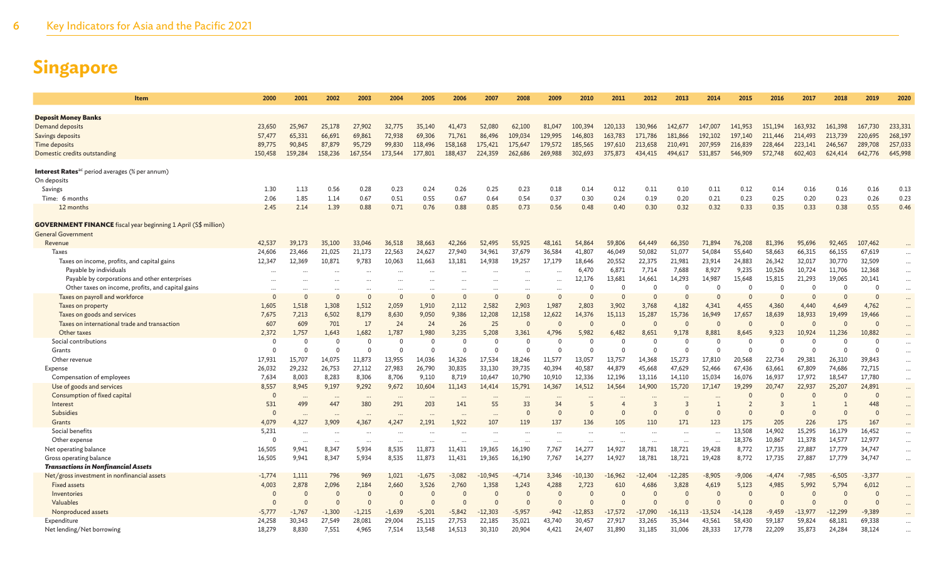| <b>Item</b>                                                                                        | 2000              | 2001              | 2002              | 2003              | 2004                 | 2005                           | 2006                           | 2007       | 2008               | 2009                 | 2010                           | 2011                | 2012                               | 2013               | 2014               | 2015             | 2016                       | 2017             | 2018             | 2019             | 2020     |
|----------------------------------------------------------------------------------------------------|-------------------|-------------------|-------------------|-------------------|----------------------|--------------------------------|--------------------------------|------------|--------------------|----------------------|--------------------------------|---------------------|------------------------------------|--------------------|--------------------|------------------|----------------------------|------------------|------------------|------------------|----------|
| <b>Deposit Money Banks</b>                                                                         |                   |                   |                   |                   |                      |                                |                                |            |                    |                      |                                |                     |                                    |                    |                    |                  |                            |                  |                  |                  |          |
| Demand deposits                                                                                    | 23,650            | 25,967            | 25,178            | 27,902            | 32,775               | 35,140                         | 41,473                         | 52,080     | 62,100             | 81,047               | 100,394                        | 120,133             | 130,966                            | 142,677            | 147,007            | 141,953          | 151,194                    | 163,932          | 161,398          | 167,730          | 233,331  |
| Savings deposits                                                                                   | 57,477            | 65,331            | 66,691            | 69,861            | 72,938               | 69,306                         | 71,761                         | 86,496     | 109,034            | 129,995              | 146,803                        | 163,783             | 171,786                            | 181,866            | 192,102            | 197,140          | 211,446                    | 214,493          | 213,739          | 220,695          | 268,197  |
| <b>Time deposits</b>                                                                               | 89,775            | 90,845            | 87,879            | 95,729            | 99,830               | 118,496                        | 158,168                        | 175,421    | 175,647            | 179,572              | 185,565                        | 197,610             | 213,658                            | 210,491            | 207,959            | 216,839          | 228,464                    | 223,141          | 246,567          | 289,708          | 257,033  |
| Domestic credits outstanding                                                                       | 150,458           | 159,284           | 158,236           | 167,554           | 173,544              | 177,801                        | 188,437                        | 224,359    | 262,686            | 269,988              | 302,693                        | 375,873             | 434,415                            | 494,617            | 531,857            | 546,909          | 572,748                    | 602,403          | 624,414          | 642,776          | 645,998  |
|                                                                                                    |                   |                   |                   |                   |                      |                                |                                |            |                    |                      |                                |                     |                                    |                    |                    |                  |                            |                  |                  |                  |          |
| <b>Interest Rates</b> <sup>ac</sup> period averages (% per annum)                                  |                   |                   |                   |                   |                      |                                |                                |            |                    |                      |                                |                     |                                    |                    |                    |                  |                            |                  |                  |                  |          |
| On deposits                                                                                        |                   |                   |                   |                   |                      |                                |                                |            |                    |                      |                                |                     |                                    |                    |                    |                  |                            |                  |                  |                  |          |
| Savings                                                                                            | 1.30              | 1.13              | 0.56              | 0.28              | 0.23                 | 0.24                           | 0.26                           | 0.25       | 0.23               | 0.18                 | 0.14                           | 0.12                | 0.11                               | 0.10               | 0.11               | 0.12             | 0.14                       | 0.16             | 0.16             | 0.16             | 0.13     |
| Time: 6 months                                                                                     | 2.06              | 1.85              | 1.14              | 0.67              | 0.51                 | 0.55                           | 0.67                           | 0.64       | 0.54               | 0.37                 | 0.30                           | 0.24                | 0.19                               | 0.20               | 0.21               | 0.23             | 0.25                       | 0.20             | 0.23             | 0.26             | 0.23     |
| 12 months                                                                                          | 2.45              | 2.14              | 1.39              | 0.88              | 0.71                 | 0.76                           | 0.88                           | 0.85       | 0.73               | 0.56                 | 0.48                           | 0.40                | 0.30                               | 0.32               | 0.32               | 0.33             | 0.35                       | 0.33             | 0.38             | 0.55             | 0.46     |
| <b>GOVERNMENT FINANCE</b> fiscal year beginning 1 April (S\$ million)<br><b>General Government</b> |                   |                   |                   |                   |                      |                                |                                |            |                    |                      |                                |                     |                                    |                    |                    |                  |                            |                  |                  |                  |          |
| Revenue                                                                                            | 42,537            | 39,173            | 35,100            | 33,046            | 36,518               | 38,663                         | 42,266                         | 52,495     | 55,925             | 48,161               | 54,864                         | 59,806              | 64,449                             | 66,350             | 71,894             | 76,208           | 81,396                     | 95,696           | 92,465           | 107,462          |          |
| <b>Taxes</b>                                                                                       | 24,606            | 23,466            | 21,025            | 21,173            | 22,563               | 24,627                         | 27,940                         | 34,961     | 37,679             | 36,584               | 41,807                         | 46,049              | 50,082                             | 51,077             | 54,084             | 55,640           | 58,663                     | 66,315           | 66,155           | 67,619           | $\cdots$ |
| Taxes on income, profits, and capital gains                                                        | 12,347            | 12,369            | 10,871            | 9,783             | 10,063               | 11,663                         | 13,181                         | 14,938     | 19,257             | 17.179               | 18,646                         | 20,552              | 22,375                             | 21,981             | 23,914             | 24,883           | 26,342                     | 32,017           | 30,770           | 32,509           | $\cdots$ |
| Payable by individuals                                                                             |                   |                   |                   |                   |                      |                                |                                |            |                    |                      | 6.470                          | 6.871               | 7,714                              | 7.688              | 8,927              | 9,235            | 10,526                     | 10,724           | 11,706           | 12,368           | $\cdots$ |
| Payable by corporations and other enterprises                                                      |                   |                   |                   |                   |                      |                                |                                |            |                    | $\cdots$             | 12,176                         | 13,681              | 14,661                             | 14,293             | 14,987             | 15,648           | 15,815                     | 21,293           | 19,065           | 20,141           | $\cdots$ |
| Other taxes on income, profits, and capital gains                                                  |                   |                   |                   |                   |                      |                                |                                |            |                    | $\cdots$             |                                | $\Omega$            | -C                                 | $\Omega$           | $\Omega$           | $\Omega$         | $\Omega$                   | $\Omega$         | $\Omega$         | - 0              | $\cdots$ |
| Taxes on payroll and workforce                                                                     |                   | $\Omega$          | $\Omega$          | $\Omega$          |                      | $\mathcal{C}$                  | $\Omega$                       | $\Omega$   | $\Omega$           | $\Omega$             |                                | $\Omega$            | C                                  | $\Omega$           |                    |                  | $\Omega$                   |                  | $\Omega$         | $\overline{0}$   | $\cdots$ |
| Taxes on property                                                                                  | 1,605             | 1,518             | 1.308             | 1,512             | 2,059                | 1,910                          | 2,112                          | 2,582      | 2,903              | 1,987                | 2,803                          | 3,902               | 3,768                              | 4,182              | 4.341              | 4,455            | 4,360                      | 4.440            | 4,649            | 4,762            | $\cdots$ |
| Taxes on goods and services                                                                        | 7,675             | 7,213             | 6,502             | 8,179             | 8,630                | 9,050                          | 9,386                          | 12,208     | 12,158             | 12,622               | 14,376                         | 15,113              | 15,287                             | 15.736             | 16,949             | 17,657           | 18,639                     | 18,933           | 19,499           | 19,466           | $\cdots$ |
| Taxes on international trade and transaction                                                       | 607               | 609               | 701               | 17                | 24                   | 24                             | 26                             | 25         | $\mathbf{0}$       | $\Omega$             |                                | $\Omega$            | $\Omega$                           | $\Omega$           | $\Omega$           | $\Omega$         | $\Omega$                   | $\mathcal{C}$    | $\Omega$         | $\overline{0}$   | $\cdots$ |
| Other taxes                                                                                        | 2,372             | 1,757             | 1,643             | 1,682             | 1,787                | 1,980                          | 3,235                          | 5,208      | 3,361              | 4,796                | 5,982                          | 6,482               | 8,651                              | 9,178              | 8,881              | 8,645            | 9,323                      | 10,924           | 11,236           | 10,882           | $\cdots$ |
| Social contributions                                                                               | $\Omega$          | $\Omega$          | $\Omega$          | $\Omega$          | $\Omega$             | $\Omega$                       | $\Omega$                       | $\Omega$   | $\Omega$           | $\Omega$             |                                | $\Omega$            | $\Omega$                           | $\Omega$           | $\Omega$           | $\Omega$         | $\Omega$                   | $\Omega$         | 0                | $\overline{0}$   | $\cdots$ |
| Grants                                                                                             | $\Omega$          | $\Omega$          | $\Omega$          | $\Omega$          |                      | C                              | $\Omega$                       | $\Omega$   | $\Omega$           | $\Omega$             |                                | $\Omega$            | $\Omega$                           | $\Omega$           | $\Omega$           |                  | $\Omega$                   | $\Omega$         | $\Omega$         | $\Omega$         | $\cdots$ |
| Other revenue                                                                                      | 17,931            | 15,707            | 14,075            | 11,873            | 13,955               | 14,036                         | 14,326                         | 17,534     | 18,246             | 11,577               | 13,057                         | 13,757              | 14,368                             | 15,273             | 17,810             | 20,568           | 22,734                     | 29,381           | 26,310           | 39,843           | $\cdots$ |
| Expense                                                                                            | 26,032            | 29,232            | 26,753            | 27,112            | 27,983               | 26,790                         | 30,835                         | 33,130     | 39,735             | 40,394               | 40,587                         | 44,879              | 45,668                             | 47,629             | 52,466             | 67,436           | 63,661                     | 67,809           | 74,686           | 72,715           | $\cdots$ |
| Compensation of employees                                                                          | 7,634             | 8,003             | 8,283             | 8,306             | 8,706                | 9,110                          | 8,719                          | 10,647     | 10,790             | 10,910               | 12,336                         | 12,196              | 13,116                             | 14,110             | 15,034             | 16,076           | 16,937                     | 17,972           | 18,547           | 17,780           | $\cdots$ |
| Use of goods and services                                                                          | 8.557             | 8,945             | 9,197             | 9,292             | 9,672                | 10,604                         | 11,143                         | 14,414     | 15,791             | 14,367               | 14,512                         | 14,564              | 14,900                             | 15,720             | 17,147             | 19,299           | 20,747                     | 22,937           | 25,207           | 24,891           | $\cdots$ |
| Consumption of fixed capital                                                                       | $\Omega$          |                   |                   | $\ddotsc$         | $\ddot{\phantom{a}}$ | $\ddotsc$                      | $\ddot{\phantom{a}}$           |            |                    | $\ddot{\phantom{a}}$ |                                |                     |                                    |                    |                    |                  | $\mathbf{0}$               | $\Omega$         | $\Omega$         | $\overline{0}$   | $\cdots$ |
| Interest                                                                                           | 531               | 499               | 447               | 380               | 291                  | 203                            | 141                            | 55         | 33                 | 34                   |                                |                     | 3                                  | 3<br>$\Omega$      | $\Omega$           | $\Omega$         | $\overline{3}$<br>$\Omega$ |                  |                  | 448              | $\cdots$ |
| Subsidies                                                                                          | $\overline{0}$    |                   |                   |                   |                      |                                |                                |            | $\Omega$           | $\Omega$             |                                | $\Omega$            | $\Omega$                           |                    |                    |                  |                            | $\Omega$         | $\mathbf{0}$     | $\overline{0}$   | $\cdots$ |
| Grants                                                                                             | 4.079             | 4,327             | 3,909             | 4.367             | 4.247                | 2,191                          | 1,922                          | 107        | 119                | 137                  | 136                            | 105                 | 110                                | 171                | 123                | 175              | 205                        | 226              | 175              | 167              | $\cdots$ |
| Social benefits<br>Other expense                                                                   | 5,231<br>$\Omega$ | $\ddots$          |                   |                   |                      |                                |                                | $\ddots$   | $\cdots$           | $\cdots$             | $\ddotsc$                      | $\sim$              | $\ddotsc$                          | $\ddotsc$          |                    | 13,508<br>18,376 | 14,902<br>10,867           | 15,295<br>11,378 | 16,179<br>14,577 | 16,452<br>12,977 | $\cdots$ |
| Net operating balance                                                                              | 16,505            | $\cdots$<br>9,941 | $\cdots$<br>8.347 | $\cdots$<br>5,934 | $\ddotsc$<br>8,535   | $\ddot{\phantom{a}}$<br>11.873 | $\ddot{\phantom{a}}$<br>11,431 | <br>19,365 | $\cdots$<br>16,190 | $\cdots$<br>7,767    | $\ddot{\phantom{a}}$<br>14,277 | $\ddotsc$<br>14.927 | $\overline{\phantom{a}}$<br>18.781 | $\cdots$<br>18.721 | $\cdots$<br>19.428 | 8,772            | 17.735                     | 27,887           | 17,779           | 34,747           | $\cdots$ |
| Gross operating balance                                                                            | 16,505            | 9,941             | 8,347             | 5,934             | 8,535                | 11,873                         | 11,431                         | 19,365     | 16,190             | 7,767                | 14,277                         | 14,927              | 18,781                             | 18,721             | 19,428             | 8,772            | 17,735                     | 27,887           | 17,779           | 34,747           | $\cdots$ |
| <b>Transactions in Nonfinancial Assets</b>                                                         |                   |                   |                   |                   |                      |                                |                                |            |                    |                      |                                |                     |                                    |                    |                    |                  |                            |                  |                  |                  | $\cdots$ |
| Net/gross investment in nonfinancial assets                                                        | $-1,774$          | 1,111             | 796               | 969               | 1,021                | $-1,675$                       | $-3,082$                       | $-10,945$  | $-4,714$           | 3.346                | $-10.130$                      | $-16,962$           | 12,404                             | $-12,285$          | $-8,905$           | $-9,006$         | $-4,474$                   | $-7,985$         | $-6,505$         | $-3,377$         |          |
| <b>Fixed assets</b>                                                                                | 4.003             | 2,878             | 2.096             | 2.184             | 2.660                | 3,526                          | 2.760                          | 1.358      | 1,243              | 4.288                | 2.723                          | 610                 | 4,686                              | 3.828              | 4.619              | 5,123            | 4.985                      | 5.992            | 5,794            | 6,012            | $\cdots$ |
| Inventories                                                                                        | $\Omega$          | $\Omega$          | $\overline{0}$    | $\Omega$          | $\Omega$             | $\Omega$                       | $\Omega$                       | $\Omega$   | $\Omega$           | $\Omega$             |                                | $\Omega$            | $\Omega$                           | $\Omega$           | $\Omega$           | $\Omega$         | $\Omega$                   | $\Omega$         | $\Omega$         | $\overline{0}$   | $\cdots$ |
| Valuables                                                                                          |                   | $\Omega$          | $\Omega$          |                   |                      | $\mathcal{C}$                  | $\Omega$                       |            | $\Omega$           | $\Omega$             |                                | $\Omega$            | $\epsilon$                         | $\Omega$           |                    |                  | $\Omega$                   |                  | $\Omega$         | $\overline{0}$   | $\cdots$ |
| Nonproduced assets                                                                                 | $-5,777$          | $-1,767$          | $-1,300$          | $-1,215$          | $-1,639$             | $-5,201$                       | $-5,842$                       | $-12,303$  | $-5,957$           | $-942$               | $-12,853$                      | $-17,572$           | $-17,090$                          | $-16,113$          | $-13,524$          | $-14,128$        | $-9,459$                   | $-13,977$        | $-12,299$        | $-9,389$         |          |
| Expenditure                                                                                        | 24,258            | 30,343            | 27,549            | 28,081            | 29,004               | 25,115                         | 27,753                         | 22,185     | 35,021             | 43.740               | 30,457                         | 27,917              | 33,265                             | 35,344             | 43,561             | 58,430           | 59,187                     | 59,824           | 68,181           | 69,338           |          |
| Net lending/Net borrowing                                                                          | 18,279            | 8,830             | 7,551             | 4,965             | 7,514                | 13,548                         | 14.513                         | 30,310     | 20,904             | 4.421                | 24,407                         | 31,890              | 31,185                             | 31,006             | 28,333             | 17,778           | 22,209                     | 35,873           | 24,284           | 38,124           |          |
|                                                                                                    |                   |                   |                   |                   |                      |                                |                                |            |                    |                      |                                |                     |                                    |                    |                    |                  |                            |                  |                  |                  |          |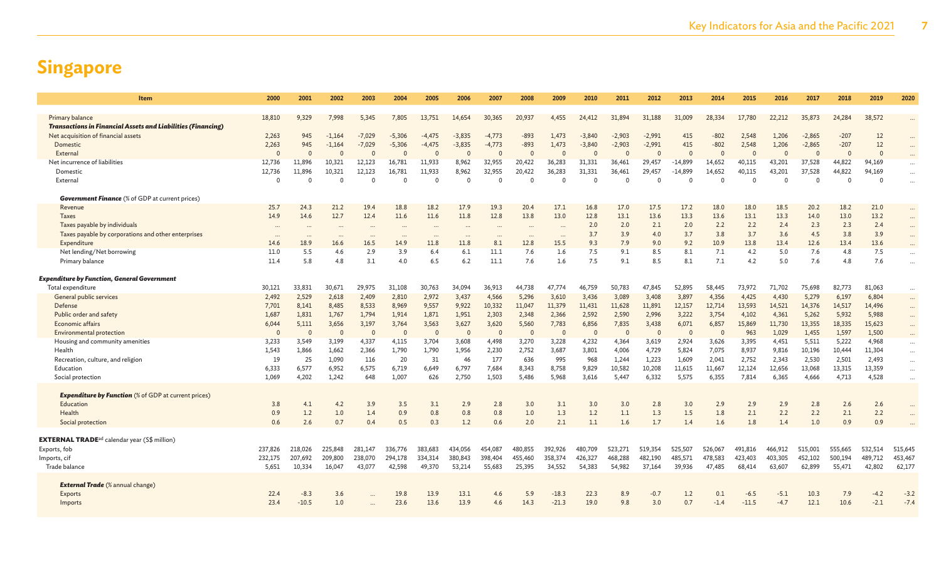| <b>Item</b>                                                                            | 2000        | 2001           | 2002           | 2003                 | 2004        | 2005         | 2006        | 2007         | 2008         | 2009         | 2010         | 2011            | 2012            | 2013            | 2014            | 2015            | 2016            | 2017            | 2018            | 2019            | 2020                 |
|----------------------------------------------------------------------------------------|-------------|----------------|----------------|----------------------|-------------|--------------|-------------|--------------|--------------|--------------|--------------|-----------------|-----------------|-----------------|-----------------|-----------------|-----------------|-----------------|-----------------|-----------------|----------------------|
|                                                                                        |             |                |                |                      |             |              |             |              |              |              |              |                 |                 |                 |                 |                 |                 |                 | 24,284          | 38,572          |                      |
| Primary balance<br><b>Transactions in Financial Assets and Liabilities (Financing)</b> | 18,810      | 9,329          | 7,998          | 5,345                | 7,805       | 13,751       | 14,654      | 30,365       | 20,937       | 4,455        | 24,412       | 31,894          | 31,188          | 31,009          | 28,334          | 17,780          | 22,212          | 35,873          |                 |                 |                      |
| Net acquisition of financial assets                                                    | 2,263       | 945            | $-1,164$       | $-7,029$             | $-5,306$    | -4,475       | $-3,835$    | $-4,773$     | $-893$       | 1.473        | $-3,840$     | $-2,903$        | $-2,991$        | 415             | -802            | 2,548           | 1,206           | $-2,865$        | $-207$          | 12              | $\cdots$             |
| Domestic                                                                               | 2,263       | 945            | $-1,164$       | $-7,029$             | $-5,306$    | $-4,475$     | $-3,835$    | $-4,773$     | $-893$       | 1,473        | $-3,840$     | $-2,903$        | $-2,991$        | 415             | $-802$          | 2,548           | 1,206           | $-2,865$        | $-207$          | 12              |                      |
| External                                                                               | $\Omega$    | $\Omega$       | $\Omega$       |                      | $\Omega$    | $\Omega$     | $\Omega$    |              |              | $\Omega$     | $\sqrt{ }$   | $\Omega$        | $\Omega$        |                 | $\sqrt{ }$      | $\Omega$        | $\Omega$        | $\Omega$        |                 | $\Omega$        | $\cdots$             |
| Net incurrence of liabilities                                                          | 12,736      | 11,896         | 10,321         | 12.123               | 16,781      | 11,933       | 8,962       | 32,955       | 20,422       | 36,283       | 31,331       | 36,461          | 29,457          | $-14,899$       | 14,652          | 40,115          | 43,201          | 37,528          | 44,822          | 94,169          | $\cdots$             |
| Domestic                                                                               | 12,736      | 11,896         | 10,321         | 12,123               | 16,781      | 11,933       | 8,962       | 32,955       | 20,422       | 36,283       | 31,331       | 36,461          | 29,457          | $-14,899$       | 14,652          | 40,115          | 43,201          | 37,528          | 44,822          | 94,169          | $\cdots$             |
| External                                                                               | $\Omega$    | $\Omega$       | $\Omega$       | $\Omega$             | $\Omega$    | $\Omega$     | $\Omega$    | $\Omega$     |              | $\Omega$     | $\Omega$     | $\Omega$        | $\Omega$        | - 0             | $\Omega$        | $\Omega$        | $\Omega$        | $\Omega$        | $\Omega$        | $\mathbf{0}$    | $\cdots$             |
| <b>Government Finance</b> (% of GDP at current prices)                                 |             |                |                |                      |             |              |             |              |              |              |              |                 |                 |                 |                 |                 |                 |                 |                 |                 |                      |
| Revenue                                                                                | 25.7        | 24.3           | 21.2           | 19.4                 | 18.8        | 18.2         | 17.9        | 19.3         | 20.4         | 17.1         | 16.8         | 17.0            | 17.5            | 17.2            | 18.0            | 18.0            | 18.5            | 20.2            | 18.2            | 21.0            | $\dddotsc$           |
| <b>Taxes</b>                                                                           | 14.9        | 14.6           | 12.7           | 12.4                 | 11.6        | 11.6         | 11.8        | 12.8         | 13.8         | 13.0         | 12.8         | 13.1            | 13.6            | 13.3            | 13.6            | 13.1            | 13.3            | 14.0            | 13.0            | 13.2            | $\ddots$             |
| Taxes payable by individuals                                                           | $\cdots$    |                |                | $\ddot{\phantom{a}}$ |             | $\cdots$     |             |              |              | $\cdots$     | 2.0          | 2.0             | 2.1             | 2.0             | 2.2             | 2.2             | 2.4             | 2.3             | 2.3             | 2.4             | $\cdots$             |
| Taxes payable by corporations and other enterprises                                    | $\cdots$    | $\cdots$       | $\cdots$       | $\cdots$             | $\cdots$    | $\cdots$     | $\cdots$    | $\cdots$     | $\cdots$     | $\cdots$     | 3.7          | 3.9             | 4.0             | 3.7             | 3.8             | 3.7             | 3.6             | 4.5             | 3.8             | 3.9             | $\cdots$             |
| Expenditure                                                                            | 14.6        | 18.9           | 16.6           | 16.5                 | 14.9        | 11.8         | 11.8        | 8.1          | 12.8         | 15.5         | 9.3          | 7.9             | 9.0             | 9.2             | 10.9            | 13.8            | 13.4            | 12.6            | 13.4            | 13.6            | $\cdots$             |
| Net lending/Net borrowing                                                              | 11.0        | 5.5            | 4.6            | 2.9                  | 3.9         | 6.4          | 6.1         | 11.1         | 7.6          | 1.6          | 7.5          | 9.1             | 8.5             | 8.1             | 7.1             | 4.2             | 5.0             | 7.6             | 4.8             | 7.5             | $\cdots$             |
| Primary balance                                                                        | 11.4        | 5.8            | 4.8            | 3.1                  | 4.0         | 6.5          | 6.2         | 11.1         | 7.6          | 1.6          | 7.5          | 9.1             | 8.5             | 8.1             | 7.1             | 4.2             | 5.0             | 7.6             | 4.8             | 7.6             | $\ddotsc$            |
| Expenditure by Function, General Government                                            |             |                |                |                      |             |              |             |              |              |              |              |                 |                 |                 |                 |                 |                 |                 |                 |                 |                      |
| Total expenditure                                                                      | 30,121      | 33,831         | 30.671         | 29.975               | 31,108      | 30,763       | 34,094      | 36,913       | 44,738       | 47,774       | 46,759       | 50,783          | 47,845          | 52,895          | 58,445          | 73,972          | 71,702          | 75,698          | 82,773          | 81,063          | $\cdots$             |
| General public services                                                                | 2,492       | 2,529          | 2,618          | 2,409                | 2,810       | 2,972        | 3,437       | 4,566        | 5,296        | 3,610        | 3,436        | 3,089           | 3,408           | 3,897           | 4,356           | 4,425           | 4,430           | 5,279           | 6,197           | 6,804           | $\cdots$             |
| Defense                                                                                | 7.701       | 8,141          | 8.485          | 8.533                | 8.969       | 9.557        | 9.922       | 10,332       | 11,047       | 11.379       | 11.431       | 11.628          | 11.891          | 12.157          | 12.714          | 13.593          | 14.521          | 14.376          | 14,517          | 14,496          | $\cdots$             |
| Public order and safety                                                                | 1.687       | 1,831          | 1,767          | 1,794                | 1,914       | 1,871        | 1,951       | 2,303        | 2,348        | 2,366        | 2,592        | 2,590           | 2,996           | 3,222           | 3,754           | 4,102           | 4,361           | 5,262           | 5,932           | 5,988           | $\cdots$             |
| <b>Economic affairs</b>                                                                | 6,044       | 5,111          | 3,656          | 3,197                | 3,764       | 3,563        | 3,627       | 3,620        | 5,560        | 7,783        | 6,856        | 7,835           | 3,438           | 6,071           | 6,857           | 15,869          | 11,730          | 13,355          | 18,335          | 15,623          | $\cdots$             |
| Environmental protection                                                               | $\Omega$    | $\overline{0}$ | $\Omega$       | $\epsilon$           | $\Omega$    | $\mathbf{0}$ | $\Omega$    |              | $\Omega$     | $\mathbf{0}$ | $\Omega$     | $\Omega$        | $\Omega$        |                 | $\Omega$        | 963             | 1,029           | 1,455           | 1,597           | 1,500           | $\ldots$             |
| Housing and community amenities                                                        | 3,233       | 3,549          | 3,199          | 4,337                | 4,115       | 3,704        | 3,608       | 4,498        | 3,270        | 3,228        | 4,232        | 4,364           | 3,619           | 2,924           | 3,626           | 3,395           | 4,451           | 5,511           | 5,222           | 4,968           | $\cdots$             |
| Health                                                                                 | 1,543       | 1,866          | 1,662          | 2,366                | 1,790       | 1,790        | 1,956<br>46 | 2,230<br>177 | 2,752<br>636 | 3,687        | 3,801<br>968 | 4,006           | 4,729           | 5,824           | 7,075           | 8,937           | 9,816           | 10,196          | 10,444          | 11,304          | $\cdots$             |
| Recreation, culture, and religion<br>Education                                         | 19<br>6,333 | 25<br>6,577    | 1,090<br>6,952 | 116<br>6.575         | 20<br>6,719 | 31<br>6,649  | 6,797       | 7,684        | 8,343        | 995<br>8,758 | 9,829        | 1,244<br>10,582 | 1,223<br>10,208 | 1,609<br>11,615 | 2,041<br>11,667 | 2,752<br>12,124 | 2,343<br>12,656 | 2,530<br>13,068 | 2,501<br>13,315 | 2,493<br>13,359 | $\cdots$             |
| Social protection                                                                      | 1,069       | 4,202          | 1.242          | 648                  | 1,007       | 626          | 2,750       | 1,503        | 5.486        | 5.968        | 3,616        | 5,447           | 6,332           | 5,575           | 6,355           | 7,814           | 6,365           | 4,666           | 4,713           | 4,528           | $\ldots$<br>$\cdots$ |
|                                                                                        |             |                |                |                      |             |              |             |              |              |              |              |                 |                 |                 |                 |                 |                 |                 |                 |                 |                      |
| <b>Expenditure by Function</b> (% of GDP at current prices)                            |             |                |                |                      |             |              |             |              |              |              |              |                 |                 |                 |                 |                 |                 |                 |                 |                 |                      |
| Education                                                                              | 3.8         | 4.1            | 4.2            | 3.9                  | 3.5         | 3.1          | 2.9         | 2.8          | 3.0          | 3.1          | 3.0          | 3.0             | 2.8             | 3.0             | 2.9             | 2.9             | 2.9             | 2.8             | 2.6             | 2.6             |                      |
| Health                                                                                 | 0.9         | 1.2            | 1.0            | 1.4                  | 0.9         | 0.8          | 0.8         | 0.8          | 1.0          | 1.3          | 1.2          | 1.1             | 1.3             | 1.5             | 1.8             | 2.1             | 2.2             | 2.2             | 2.1             | 2.2             |                      |
| Social protection                                                                      | 0.6         | 2.6            | 0.7            | 0.4                  | 0.5         | 0.3          | 1.2         | 0.6          | 2.0          | 2.1          | 1.1          | 1.6             | 1.7             | 1.4             | 1.6             | 1.8             | 1.4             | 1.0             | 0.9             | 0.9             |                      |
| <b>EXTERNAL TRADE</b> <sup>ad</sup> calendar year (S\$ million)                        |             |                |                |                      |             |              |             |              |              |              |              |                 |                 |                 |                 |                 |                 |                 |                 |                 |                      |
| Exports, fob                                                                           | 237,826     | 218,026        | 225,848        | 281,147              | 336,776     | 383,683      | 434,056     | 454,087      | 480,855      | 392,926      | 480,709      | 523,271         | 519,354         | 525,507         | 526,067         | 491,816         | 466,912         | 515,001         | 555,665         | 532,514         | 515,645              |
| Imports, cif                                                                           | 232,175     | 207,692        | 209,800        | 238,070              | 294,178     | 334,314      | 380,843     | 398,404      | 455,460      | 358,374      | 426,327      | 468,288         | 482.190         | 485,571         | 478,583         | 423,403         | 403,305         | 452,102         | 500,194         | 489,712         | 453,467              |
| Trade balance                                                                          | 5.651       | 10,334         | 16.047         | 43,077               | 42.598      | 49,370       | 53.214      | 55.683       | 25.395       | 34.552       | 54,383       | 54,982          | 37,164          | 39.936          | 47,485          | 68,414          | 63.607          | 62.899          | 55,471          | 42,802          | 62,177               |
|                                                                                        |             |                |                |                      |             |              |             |              |              |              |              |                 |                 |                 |                 |                 |                 |                 |                 |                 |                      |
| <b>External Trade</b> (% annual change)                                                |             |                |                |                      |             |              |             |              |              |              |              |                 |                 |                 |                 |                 |                 |                 |                 |                 |                      |
| Exports                                                                                | 22.4        | $-8.3$         | 3.6            |                      | 19.8        | 13.9         | 13.1        | 4.6          | 5.9          | $-18.3$      | 22.3         | 8.9             | $-0.7$          | 1.2             | 0.1             | $-6.5$          | -5.1            | 10.3            | 7.9             | $-4.2$          | $-3.2$               |
| Imports                                                                                | 23.4        | $-10.5$        | 1.0            |                      | 23.6        | 13.6         | 13.9        | 4.6          | 14.3         | $-21.3$      | 19.0         | 9.8             | 3.0             | 0.7             | $-1.4$          | $-11.5$         | $-4.7$          | 12.1            | 10.6            | $-2.1$          | $-7.4$               |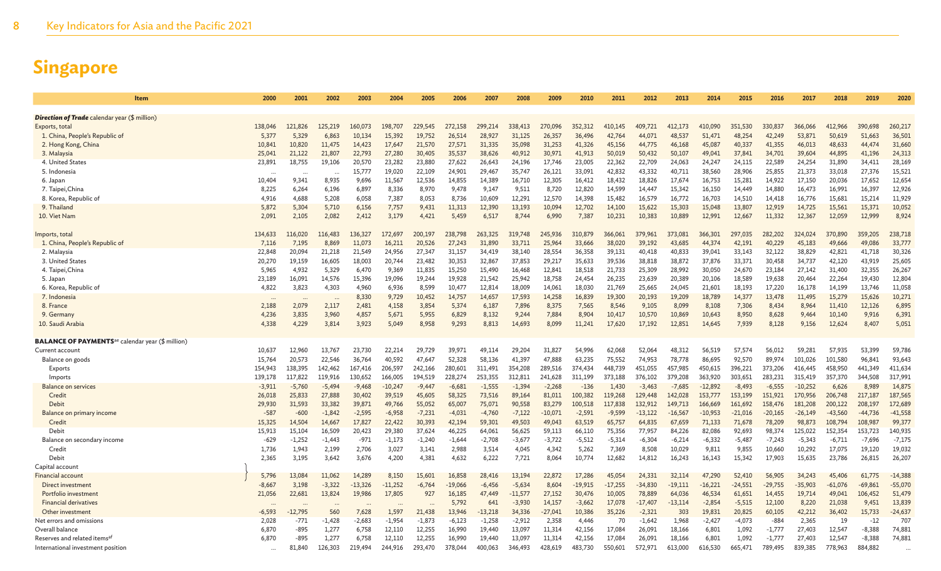| Item                                                                | 2000                | 2001      | 2002     | 2003             | 2004               | 2005             | 2006             | 2007               | 2008             | 2009               | 2010              | 2011      | 2012      | 2013                | 2014      | 2015      | 2016               | 2017      | 2018      | 2019      | 2020             |
|---------------------------------------------------------------------|---------------------|-----------|----------|------------------|--------------------|------------------|------------------|--------------------|------------------|--------------------|-------------------|-----------|-----------|---------------------|-----------|-----------|--------------------|-----------|-----------|-----------|------------------|
|                                                                     |                     |           |          |                  |                    |                  |                  |                    |                  |                    |                   |           |           |                     |           |           |                    |           |           |           |                  |
| <b>Direction of Trade</b> calendar year (\$ million)                |                     |           |          |                  |                    |                  |                  |                    |                  |                    |                   |           |           |                     |           |           |                    |           |           |           |                  |
| Exports, total                                                      | 138,046             | 121.826   | 125.219  | 160,073          | 198,707            | 229,545          | 272.158          | 299,214            | 338,413          | 270,096            | 352.312           | 410.145   | 409,721   | 412.173             | 410,090   | 351.530   | 330,837            | 366,066   | 12,966    | 390,698   | 260,217          |
| 1. China, People's Republic of                                      | 5,377               | 5,329     | 6,863    | 10,134           | 15,392             | 19,752           | 26,514           | 28,927             | 31,125           | 26,357             | 36,496            | 42,764    | 44,071    | 48,537              | 51,471    | 48,254    | 42,249             | 53,871    | 50,619    | 51,663    | 36,501           |
| 2. Hong Kong, China                                                 | 10,841              | 10,820    | 11,475   | 14,423           | 17,647             | 21,570           | 27,571           | 31,335             | 35,098           | 31,253             | 41,326            | 45,156    | 44,775    | 46,168              | 45,087    | 40,337    | 41,355             | 46,013    | 48,633    | 44,474    | 31,660           |
| 3. Malaysia                                                         | 25,041              | 21,122    | 21,807   | 22,793           | 27,280             | 30,405           | 35,537           | 38,626             | 40,912           | 30,971             | 41,913            | 50,019    | 50,432    | 50,107              | 49,041    | 37,841    | 34,701             | 39,604    | 44,895    | 41,196    | 24,313           |
| 4. United States                                                    | 23,891              | 18,755    | 19,106   | 20,570           | 23,282             | 23,880           | 27,622           | 26,643             | 24,196           | 17,746             | 23,005            | 22,362    | 22,709    | 24,063              | 24,247    | 24,115    | 22,589             | 24,254    | 31,890    | 34,411    | 28,169           |
| 5. Indonesia                                                        |                     |           |          | 15,777           | 19,020             | 22,109           | 24,901           | 29,467             | 35,747           | 26,121             | 33,091            | 42,832    | 43,332    | 40,711              | 38,560    | 28,906    | 25,855             | 21,373    | 33,018    | 27,376    | 15,521           |
| 6. Japan                                                            | 10,404              | 9.341     | 8,935    | 9,696            | 11.567             | 12,536           | 14,855           | 14,389             | 16,710           | 12,305             | 16,412            | 18,432    | 18,826    | 17,674              | 16,753    | 15,281    | 14.922             | 17,150    | 20,036    | 17,652    | 12,654           |
| 7. Taipei, China                                                    | 8,225               | 6,264     | 6,196    | 6,897            | 8,336              | 8,970            | 9,478            | 9,147              | 9,511            | 8,720              | 12,820            | 14,599    | 14,447    | 15,342              | 16,150    | 14,449    | 14,880             | 16,473    | 16,991    | 16,397    | 12,926           |
| 8. Korea, Republic of                                               | 4,916               | 4,688     | 5,208    | 6,058            | 7,387              | 8,053            | 8,736            | 10,609             | 12,291           | 12,570             | 14,398            | 15,482    | 16,579    | 16,772              | 16,703    | 14,510    | 14,418             | 16,776    | 15,681    | 15,214    | 11,929           |
| 9. Thailand                                                         | 5,872               | 5,304     | 5,710    | 6,156            | 7,757              | 9,431            | 11,313           | 12,390             | 13,193           | 10,094             | 12,702            | 14,100    | 15,622    | 15,303              | 15,048    | 13,807    | 12,919             | 14,725    | 15,561    | 15,371    | 10,052           |
| 10. Viet Nam                                                        | 2.091               | 2,105     | 2,082    | 2,412            | 3,179              | 4,421            | 5,459            | 6,517              | 8,744            | 6,990              | 7,387             | 10,231    | 10,383    | 10,889              | 12,991    | 12,667    | 11.332             | 12,367    | 12,059    | 12,999    | 8,924            |
| Imports, total                                                      | 134,633             | 116,020   | 116,483  | 136,327          | 172,697            | 200,197          | 238,798          | 263,325            | 319,748          | 245,936            | 310,879           | 366,061   | 379,961   | 373,081             | 366,301   | 297,035   | 282,202            | 324,024   | 370,890   | 359,205   | 238,718          |
| 1. China, People's Republic of                                      | 7,116               | 7,195     | 8,869    | 11,073           | 16,211             | 20,526           | 27,243           | 31,890             | 33,711           | 25,964             | 33,666            | 38,020    | 39,192    | 43.685              | 44,374    | 42,191    | 40,229             | 45,183    | 49,666    | 49,086    | 33,777           |
| 2. Malaysia                                                         | 22,848              | 20,094    | 21,218   | 21,549           | 24,956             | 27,347           | 31,157           | 34,419             | 38,140           | 28,554             | 36,358            | 39,131    | 40,418    | 40,833              | 39,041    | 33,143    | 32,122             | 38,829    | 42,821    | 41,718    | 30,326           |
| 3. United States                                                    | 20,270              | 19,159    | 16,605   | 18,003           | 20,744             | 23,482           | 30,353           | 32,867             | 37,853           | 29,217             | 35,633            | 39,536    | 38,818    | 38,872              | 37,876    | 33,371    | 30,458             | 34,737    | 42,120    | 43,919    | 25,605           |
| 4. Taipei, China                                                    | 5,965               | 4,932     | 5,329    | 6,470            | 9,369              | 11,835           | 15,250           | 15,490             | 16,468           | 12,841             | 18,518            | 21,733    | 25,309    | 28,992              | 30,050    | 24,670    | 23,184             | 27,142    | 31,400    | 32,355    | 26,267           |
| 5. Japan                                                            | 23,189              | 16,091    | 14.576   | 15,396           | 19,096             | 19,244           | 19,928           | 21,542             | 25,942           | 18,758             | 24,454            | 26,235    | 23,639    | 20,389              | 20,106    | 18,589    | 19,638             | 20,464    | 22,264    | 19,430    | 12,804           |
| 6. Korea, Republic of                                               | 4.822               | 3,823     | 4,303    | 4.960            | 6,936              | 8,599            | 10,477           | 12,814             | 18,009           | 14,061             | 18,030            | 21,769    | 25,665    | 24.045              | 21,601    | 18,193    | 17.220             | 16,178    | 14,199    | 13.746    | 11,058           |
| 7. Indonesia                                                        | $\ddots$            |           | $\sim$   | 8,330            | 9,729              | 10,452           | 14,757           | 14,657             | 17,593           | 14,258             | 16,839            | 19,300    | 20,193    | 19,209              | 18,789    | 14,377    | 13,478             | 11,495    | 15,279    | 15,626    | 10,271           |
| 8. France                                                           | 2,188               | 2,079     | 2,117    | 2,481            | 4,158              | 3,854            | 5,374            | 6,187              | 7,896            | 8,375              | 7,565             | 8,546     | 9,105     | 8,099               | 8,108     | 7,306     | 8,434              | 8,964     | 11,410    | 12,126    | 6,895            |
| 9. Germany                                                          | 4,236               | 3,835     | 3,960    | 4,857            | 5,671              | 5,955            | 6,829            | 8,132              | 9,244            | 7,884              | 8,904             | 10,417    | 10,570    | 10,869              | 10,643    | 8,950     | 8,628              | 9,464     | 10,140    | 9,916     | 6,391            |
| 10. Saudi Arabia                                                    | 4.338               | 4,229     | 3,814    | 3,923            | 5.049              | 8,958            | 9,293            | 8,813              | 14,693           | 8,099              | 11,241            | 17,620    | 17,192    | 12,851              | 14,645    | 7,939     | 8,128              | 9,156     | 12,624    | 8,407     | 5,051            |
|                                                                     |                     |           |          |                  |                    |                  |                  |                    |                  |                    |                   |           |           |                     |           |           |                    |           |           |           |                  |
| <b>BALANCE OF PAYMENTS</b> <sup>ae</sup> calendar year (\$ million) |                     | 12,960    | 13.767   |                  |                    |                  |                  | 49.114             |                  |                    |                   | 62,068    | 52,064    | 48.312              | 56,519    | 57,574    | 56.012             | 59.281    | 57,935    | 53,399    |                  |
| Current account<br>Balance on goods                                 | 10,637<br>15.764    | 20,573    | 22,546   | 23,730<br>36,764 | 22,214<br>40,592   | 29,729<br>47,647 | 39,971<br>52,328 | 58,136             | 29,204<br>41,397 | 31,827<br>47,888   | 54,996<br>63,235  | 75,552    | 74,953    | 78,778              | 86,695    | 92,570    | 89,974             | 101,026   | 101,580   | 96,841    | 59,786<br>93,643 |
|                                                                     | 154,943             | 138,395   | 142,462  | 167,416          |                    | 242,166          | 280,601          |                    | 354,208          |                    | 374,434           | 448,739   | 451,055   | 457,985             | 450,615   | 396,221   |                    | 416,445   | 458,950   | 441,349   | 411,634          |
| Exports                                                             |                     | 117,822   | 119,916  | 130,652          | 206,597<br>166,005 | 194,519          | 228,274          | 311,491<br>253,355 | 312,811          | 289,516<br>241,628 |                   | 373,188   | 376,102   |                     | 363,920   | 303,651   | 373,206<br>283,231 | 315,419   | 357,370   | 344,508   | 317,991          |
| Imports<br><b>Balance on services</b>                               | 139,178<br>$-3,911$ | $-5,760$  | $-5,494$ | $-9,468$         | $-10,247$          | $-9,447$         | $-6,681$         | $-1,555$           | $-1,394$         | $-2,268$           | 311,199<br>$-136$ | 1,430     | $-3,463$  | 379,208<br>$-7,685$ | $-12,892$ | $-8,493$  | $-6,555$           | $-10,252$ | 6,626     | 8,989     | 14,875           |
| Credit                                                              | 26,018              | 25,833    | 27,888   | 30,402           | 39,519             | 45,605           | 58.325           | 73,516             | 89,164           | 81,011             | 100.382           | 119.268   | 129,448   | 142,028             | 153,777   | 153,199   | 151.921            | 170,956   | 206,748   | 217,187   | 187,565          |
| Debit                                                               | 29,930              | 31,593    | 33,382   | 39,871           | 49,766             | 55,052           | 65,007           | 75,071             | 90,558           | 83,279             | 100,518           | 117,838   | 132,912   | 149,713             | 166,669   | 161,692   | 158,476            | 181,208   | 200,122   | 208,197   | 172,689          |
| Balance on primary income                                           | $-587$              | $-600$    | $-1,842$ | $-2,595$         | $-6,958$           | $-7,231$         | $-4,031$         | $-4,760$           | $-7,122$         | $-10,071$          | $-2,591$          | $-9,599$  | $-13,122$ | $-16,567$           | $-10,953$ | $-21,016$ | $-20,165$          | $-26,149$ | $-43,560$ | $-44,736$ | $-41,558$        |
| Credit                                                              | 15,325              | 14,504    | 14,667   | 17,827           | 22,422             | 30,393           | 42,194           | 59,301             | 49,503           | 49,043             | 63,519            | 65,757    | 64,835    | 67,659              | 71,133    | 71,678    | 78,209             | 98,873    | 108,794   | 108,987   | 99,377           |
| Debit                                                               | 15,913              | 15,104    | 16,509   | 20,423           | 29,380             | 37,624           | 46,225           | 64,061             | 56,625           | 59,113             | 66,110            | 75,356    | 77,957    | 84,226              | 82,086    | 92,693    | 98,374             | 125,022   | 152,354   | 153,723   | 140,935          |
| Balance on secondary income                                         | $-629$              | $-1,252$  | $-1,443$ | $-971$           | $-1,173$           | $-1,240$         | $-1,644$         | $-2,708$           | $-3,677$         | $-3,722$           | $-5,512$          | $-5,314$  | $-6,304$  | $-6,214$            | $-6,332$  | $-5,487$  | $-7,243$           | $-5,343$  | $-6,711$  | $-7,696$  | $-7,175$         |
| Credit                                                              | 1,736               | 1,943     | 2,199    | 2,706            | 3,027              | 3,141            | 2,988            | 3,514              | 4,045            | 4,342              | 5,262             | 7,369     | 8,508     | 10,029              | 9,811     | 9,855     | 10,660             | 10,292    | 17,075    | 19,120    | 19,032           |
| Debit                                                               | 2,365               | 3,195     | 3,642    | 3,676            | 4,200              | 4,381            | 4,632            | 6,222              | 7,721            | 8,064              | 10,774            | 12,682    | 14,812    | 16,243              | 16,143    | 15,342    | 17,903             | 15,635    | 23,786    | 26,815    | 26,207           |
| Capital account                                                     |                     |           |          |                  |                    |                  |                  |                    |                  |                    |                   |           |           |                     |           |           |                    |           |           |           |                  |
| Financial account                                                   | 5,796               | 13,084    | 11,062   | 14,289           | 8,150              | 15,601           | 16,858           | 28,416             | 13,194           | 22,872             | 17.286            | 45,054    | 24,331    | 32.114              | 47,290    | 52,410    | 56,905             | 34,243    | 45,406    | 61,775    | $-14,388$        |
| Direct investment                                                   | $-8,667$            | 3,198     | $-3,322$ | $-13,326$        | $-11,252$          | $-6,764$         | $-19,066$        | $-6,456$           | $-5,634$         | 8,604              | $-19,915$         | $-17,255$ | $-34,830$ | $-19,111$           | $-16,221$ | $-24,551$ | $-29,755$          | $-35,903$ | $-61,076$ | $-69,861$ | $-55,070$        |
| Portfolio investment                                                | 21,056              | 22,681    | 13,824   | 19,986           | 17,805             | 927              | 16,185           | 47,449             | $-11,577$        | 27,152             | 30,476            | 10,005    | 78,889    | 64,036              | 46,534    | 61,651    | 14,455             | 19,714    | 49,041    | 106,452   | 51,479           |
| <b>Financial derivatives</b>                                        |                     |           |          |                  |                    |                  | 5,792            | 641                | $-3,930$         | 14,157             | $-3,662$          | 17,078    | $-17,407$ | -13,114             | $-2,854$  | $-5,515$  | 12,100             | 8,220     | 21,038    | 9,451     | 13,839           |
| Other investment                                                    | $-6.593$            | $-12.795$ | 560      | 7.628            | 1.597              | 21.438           | 13.946           | $-13.218$          | 34,336           | $-27,041$          | 10,386            | 35,226    | $-2,321$  | 303                 | 19,831    | 20,825    | 60,105             | 42.212    | 36,402    | 15,733    | $-24,637$        |
| Net errors and omissions                                            | 2,028               | $-771$    | $-1,428$ | $-2,683$         | $-1,954$           | $-1,873$         | $-6,123$         | $-1,258$           | $-2,912$         | 2,358              | 4,446             | 70        | $-1,642$  | 1,968               | $-2,427$  | $-4,073$  | $-884$             | 2,365     | 19        | $-12$     | 707              |
| Overall balance                                                     | 6,870               | $-895$    | 1,277    | 6,758            | 12,110             | 12,255           | 16,990           | 19,440             | 13,097           | 11,314             | 42,156            | 17,084    | 26,091    | 18,166              | 6,801     | 1,092     | $-1,777$           | 27,403    | 12,547    | $-8,388$  | 74,881           |
| Reserves and related items <sup>a</sup>                             | 6,870               | $-895$    | 1,277    | 6,758            | 12,110             | 12,255           | 16,990           | 19,440             | 13,097           | 11,314             | 42,156            | 17,084    | 26,091    | 18,166              | 6,801     | 1,092     | $-1,777$           | 27,403    | 12,547    | $-8,388$  | 74,881           |
| International investment position                                   |                     | 81,840    | 126,303  | 219,494          | 244,916            | 293,470          | 378,044          | 400,063            | 346,493          | 428,619            | 483,730           | 550.601   | 572.971   | 613.000             | 616,530   | 665.471   | 789,495            | 839,385   | 778,963   | 884,882   |                  |
|                                                                     |                     |           |          |                  |                    |                  |                  |                    |                  |                    |                   |           |           |                     |           |           |                    |           |           |           |                  |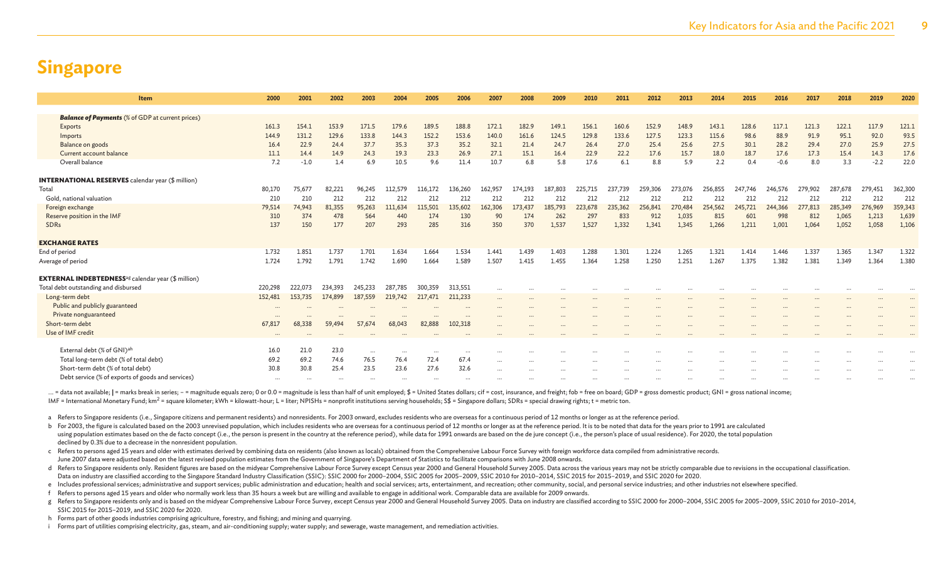| <b>Item</b>                                                           | 2000     | 2001    | 2002     | 2003             | 2004             | 2005             | 2006     | 2007     | 2008    | 2009     | 2010    | 2011    | 2012    | 2013    | 2014    | 2015    | 2016    | 2017    | 2018    | 2019    | 2020     |
|-----------------------------------------------------------------------|----------|---------|----------|------------------|------------------|------------------|----------|----------|---------|----------|---------|---------|---------|---------|---------|---------|---------|---------|---------|---------|----------|
|                                                                       |          |         |          |                  |                  |                  |          |          |         |          |         |         |         |         |         |         |         |         |         |         |          |
| <b>Balance of Payments</b> (% of GDP at current prices)               |          |         |          |                  |                  |                  |          |          |         |          |         |         |         |         |         |         |         |         |         |         |          |
| Exports                                                               | 161.3    | 154.1   | 153.9    | 171.5            | 179.6            | 189.5            | 188.8    | 172.1    | 182.9   | 149.1    | 156.1   | 160.6   | 152.9   | 148.9   | 143.1   | 128.6   | 117.1   | 121.3   | 122.1   | 117.9   | 121.1    |
| Imports                                                               | 144.9    | 131.2   | 129.6    | 133.8            | 144.3            | 152.2            | 153.6    | 140.0    | 161.6   | 124.5    | 129.8   | 133.6   | 127.5   | 123.3   | 115.6   | 98.6    | 88.9    | 91.9    | 95.1    | 92.0    | 93.5     |
| Balance on goods                                                      | 16.4     | 22.9    | 24.4     | 37.7             | 35.3             | 37.3             | 35.2     | 32.1     | 21.4    | 24.7     | 26.4    | 27.0    | 25.4    | 25.6    | 27.5    | 30.1    | 28.2    | 29.4    | 27.0    | 25.9    | 27.5     |
| Current account balance                                               | 11.1     | 14.4    | 14.9     | 24.3             | 19.3             | 23.3             | 26.9     | 27.1     | 15.1    | 16.4     | 22.9    | 22.2    | 17.6    | 15.7    | 18.0    | 18.7    | 17.6    | 17.3    | 15.4    | 14.3    | 17.6     |
| Overall balance                                                       | 7.2      | $-1.0$  | 1.4      | 6.9              | 10.5             | 9.6              | 11.4     | 10.7     | 6.8     | 5.8      | 17.6    | 6.1     | 8.8     | 5.9     | 2.2     | 0.4     | $-0.6$  | 8.0     | 3.3     | $-2.2$  | 22.0     |
| <b>INTERNATIONAL RESERVES</b> calendar year (\$ million)              |          |         |          |                  |                  |                  |          |          |         |          |         |         |         |         |         |         |         |         |         |         |          |
| Total                                                                 | 80,170   | 75,677  | 82,221   | 96,245           | 112,579          | 116,172          | 136,260  | 162,957  | 174,193 | 187,803  | 225,715 | 237,739 | 259,306 | 273,076 | 256,855 | 247.746 | 246,576 | 279,902 | 287,678 | 279,451 | 362,300  |
| Gold, national valuation                                              | 210      | 210     | 212      | 212              | 212              | 212              | 212      | 212      | 212     | 212      | 212     | 212     | 212     | 212     | 212     | 212     | 212     | 212     | 212     | 212     | 212      |
| Foreign exchange                                                      | 79,514   | 74,943  | 81,355   | 95,263           | 111,634          | 115,501          | 135,602  | 162,306  | 173,437 | 185,793  | 223,678 | 235,362 | 256,841 | 270,484 | 254,562 | 245,721 | 244,366 | 277,813 | 285,349 | 276,969 | 359,343  |
| Reserve position in the IMF                                           | 310      | 374     | 478      | 564              | 440              | 174              | 130      | 90       | 174     | 262      | 297     | 833     | 912     | 1,035   | 815     | 601     | 998     | 812     | 1,065   | 1,213   | 1,639    |
| <b>SDRs</b>                                                           | 137      | 150     | 177      | 207              | 293              | 285              | 316      | 350      | 370     | 1,537    | 1,527   | 1,332   | 1,341   | 1,345   | 1,266   | 1,211   | 1,001   | 1,064   | 1,052   | 1,058   | 1,106    |
| <b>EXCHANGE RATES</b>                                                 |          |         |          |                  |                  |                  |          |          |         |          |         |         |         |         |         |         |         |         |         |         |          |
| End of period                                                         | 1.732    | 1.851   | 1.737    | 1.701            | 1.634            | 1.664            | 1.534    | 1.441    | 1.439   | 1.403    | 1.288   | 1.301   | 1.224   | 1.265   | 1.321   | 1.414   | 1.446   | 1.337   | 1.365   | 1.347   | 1.322    |
| Average of period                                                     | 1.724    | 1.792   | 1.791    | 1.742            | 1.690            | 1.664            | 1.589    | 1.507    | 1.415   | 1.455    | 1.364   | 1.258   | 1.250   | 1.251   | 1.267   | 1.375   | 1.382   | 1.381   | 1.349   | 1.364   | 1.380    |
| <b>EXTERNAL INDEBTEDNESS</b> <sup>ag</sup> calendar year (\$ million) |          |         |          |                  |                  |                  |          |          |         |          |         |         |         |         |         |         |         |         |         |         |          |
| Total debt outstanding and disbursed                                  | 220,298  | 222,073 | 234,393  | 245,233          | 287,785          | 300,359          | 313,551  | $\cdots$ |         |          |         |         |         |         |         |         |         |         |         |         |          |
| Long-term debt                                                        | 152,481  | 153,735 | 174,899  | 187,559          | 219,742          | 217,471          | 211,233  |          |         |          |         |         |         |         |         |         |         |         |         |         |          |
| Public and publicly guaranteed                                        |          |         |          |                  |                  |                  |          |          |         |          |         |         |         |         |         |         |         |         |         |         |          |
| Private nonguaranteed                                                 | $\cdots$ |         | $\cdots$ |                  | $\cdots$         |                  | $\cdots$ | $\cdots$ |         | $\cdots$ |         |         |         |         |         |         |         |         |         |         | $\cdots$ |
| Short-term debt                                                       | 67,817   | 68,338  | 59,494   | 57,674           | 68,043           | 82,888           | 102,318  | $\cdots$ |         | $\cdots$ |         |         |         |         |         |         |         |         |         |         |          |
| Use of IMF credit                                                     |          |         |          |                  |                  |                  |          |          |         |          |         |         |         |         |         |         |         |         |         |         |          |
| External debt (% of GNI) <sup>ah</sup>                                | 16.0     | 21.0    | 23.0     |                  |                  |                  |          |          |         |          |         |         |         |         |         |         |         |         |         |         |          |
| Total long-term debt (% of total debt)                                | 69.2     | 69.2    | 74.6     | $\cdots$<br>76.5 | $\cdots$<br>76.4 | $\cdots$<br>72.4 | <br>67.4 |          |         | $\cdots$ |         |         |         |         |         |         |         |         |         |         |          |
| Short-term debt (% of total debt)                                     | 30.8     | 30.8    | 25.4     | 23.5             | 23.6             | 27.6             | 32.6     | $\cdots$ |         | $\cdots$ |         |         |         |         |         |         |         |         |         |         |          |
|                                                                       |          |         |          |                  |                  |                  |          |          |         |          |         |         |         |         |         |         |         |         |         |         |          |
| Debt service (% of exports of goods and services)                     | $\cdots$ |         |          |                  |                  |                  |          |          |         |          |         |         |         |         |         |         |         |         |         |         |          |

... = data not available; | = marks break in series; - = magnitude equals zero; 0 or 0.0 = magnitude is less than half of unit employed; \$ = United States dollars; cif = cost, insurance, and freight; fob = free on board; G IMF = International Monetary Fund; km<sup>2</sup> = square kilometer; kWh = kilowatt-hour; L = liter; NPISHs = nonprofit institutions serving households; S\$ = Singapore dollars; SDRs = special drawing rights; t = metric ton.

a Refers to Singapore residents (i.e., Singapore citizens and permanent residents) and nonresidents. For 2003 onward, excludes residents who are overseas for a continuous period of 12 months or longer as at the reference p

b For 2003, the figure is calculated based on the 2003 unrevised population, which includes residents who are overseas for a continuous period of 12 months or longer as at the reference period. It is to be noted that data using population estimates based on the de facto concept (i.e., the person is present in the country at the reference period), while data for 1991 onwards are based on the de jure concept (i.e., the person's place of usual declined by 0.3% due to a decrease in the nonresident population.

c Refers to persons aged 15 years and older with estimates derived by combining data on residents (also known as locals) obtained from the Comprehensive Labour Force Survey with foreign workforce data compiled from adminis June 2007 data were adjusted based on the latest revised population estimates from the Government of Singapore's Department of Statistics to facilitate comparisons with June 2008 onwards.

d Refers to Singapore residents only. Resident figures are based on the midyear Comprehensive Labour Force Survey except Census year 2000 and General Household Survey 2005. Data across the various years may not be strictly Data on industry are classified according to the Singapore Standard Industry Classification (SSIC): SSIC 2000 for 2000-2004, SSIC 2005 for 2005-2009, SSIC 2009 for 2010-2014, SSIC 2015 for 2015-2019, and SSIC 2020 for 2020

e Includes professional services; administrative and support services; public administration and education; health and social services; arts, entertainment, and recreation; other community, social, and personal service ind

f Refers to persons aged 15 years and older who normally work less than 35 hours a week but are willing and available to engage in additional work. Comparable data are available for 2009 onwards.

g Refers to Singapore residents only and is based on the midyear Comprehensive Labour Force Survey, except Census year 2000 and General Household Survey 2005. Data on industry are classified according to SSIC 2000 for 2000 SSIC 2015 for 2015–2019, and SSIC 2020 for 2020.

h Forms part of other goods industries comprising agriculture, forestry, and fishing; and mining and quarrying.

i Forms part of utilities comprising electricity, gas, steam, and air-conditioning supply; water supply; and sewerage, waste management, and remediation activities.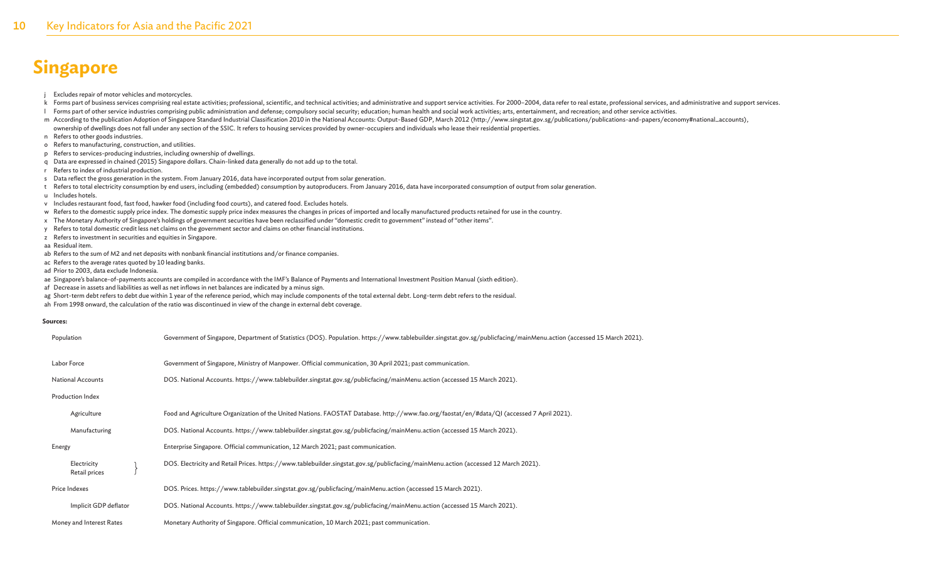j Excludes repair of motor vehicles and motorcycles.

- k Forms part of business services comprising real estate activities; professional, scientific, and technical activities; and administrative and support service activities; Enception and technical activities; and administra
- I Forms part of other service industries comprising public administration and defense; compulsory social security; education; human health and social work activities; arts, entertainment, and recreation; and other service
- m According to the publication Adoption of Singapore Standard Industrial Classification 2010 in the National Accounts: Output-Based GDP, March 2012 (http://www.singstat.gov.sg/publications/publications-and-papers/economy#n ownership of dwellings does not fall under any section of the SSIC. It refers to housing services provided by owner-occupiers and individuals who lease their residential properties.
- n Refers to other goods industries.
- o Refers to manufacturing, construction, and utilities.
- p Refers to services-producing industries, including ownership of dwellings.
- q Data are expressed in chained (2015) Singapore dollars. Chain-linked data generally do not add up to the total.
- r Refers to index of industrial production.
- s Data reflect the gross generation in the system. From January 2016, data have incorporated output from solar generation.
- t Refers to total electricity consumption by end users, including (embedded) consumption by autoproducers. From January 2016, data have incorporated consumption of output from solar generation.
- u Includes hotels.
- v Includes restaurant food, fast food, hawker food (including food courts), and catered food. Excludes hotels.
- w Refers to the domestic supply price index. The domestic supply price index measures the changes in prices of imported and locally manufactured products retained for use in the country.
- x The Monetary Authority of Singapore's holdings of government securities have been reclassified under "domestic credit to government" instead of "other items".
- y Refers to total domestic credit less net claims on the government sector and claims on other financial institutions.
- z Refers to investment in securities and equities in Singapore.
- aa Residual item.
- ab Refers to the sum of M2 and net deposits with nonbank financial institutions and/or finance companies.
- ac Refers to the average rates quoted by 10 leading banks.
- ad Prior to 2003, data exclude Indonesia.
- ae Singapore's balance-of-payments accounts are compiled in accordance with the IMF's Balance of Payments and International Investment Position Manual (sixth edition).
- af Decrease in assets and liabilities as well as net inflows in net balances are indicated by a minus sign.
- ag Short-term debt refers to debt due within 1 year of the reference period, which may include components of the total external debt. Long-term debt refers to the residual.
- ah From 1998 onward, the calculation of the ratio was discontinued in view of the change in external debt coverage.

#### **Sources:**

| Population                   | Government of Singapore, Department of Statistics (DOS). Population. https://www.tablebuilder.singstat.gov.sg/publicfacing/mainMenu.action (accessed 15 March 2021). |
|------------------------------|----------------------------------------------------------------------------------------------------------------------------------------------------------------------|
| Labor Force                  | Government of Singapore, Ministry of Manpower. Official communication, 30 April 2021; past communication.                                                            |
| <b>National Accounts</b>     | DOS. National Accounts. https://www.tablebuilder.singstat.gov.sg/publicfacing/mainMenu.action (accessed 15 March 2021).                                              |
| Production Index             |                                                                                                                                                                      |
| Agriculture                  | Food and Agriculture Organization of the United Nations. FAOSTAT Database. http://www.fao.org/faostat/en/#data/QI (accessed 7 April 2021).                           |
| Manufacturing                | DOS. National Accounts. https://www.tablebuilder.singstat.gov.sg/publicfacing/mainMenu.action (accessed 15 March 2021).                                              |
| Energy                       | Enterprise Singapore. Official communication, 12 March 2021; past communication.                                                                                     |
| Electricity<br>Retail prices | DOS. Electricity and Retail Prices. https://www.tablebuilder.singstat.gov.sg/publicfacing/mainMenu.action (accessed 12 March 2021).                                  |
| Price Indexes                | DOS. Prices. https://www.tablebuilder.singstat.gov.sg/publicfacing/mainMenu.action (accessed 15 March 2021).                                                         |
| Implicit GDP deflator        | DOS. National Accounts. https://www.tablebuilder.singstat.gov.sg/publicfacing/mainMenu.action (accessed 15 March 2021).                                              |
| Money and Interest Rates     | Monetary Authority of Singapore. Official communication, 10 March 2021; past communication.                                                                          |